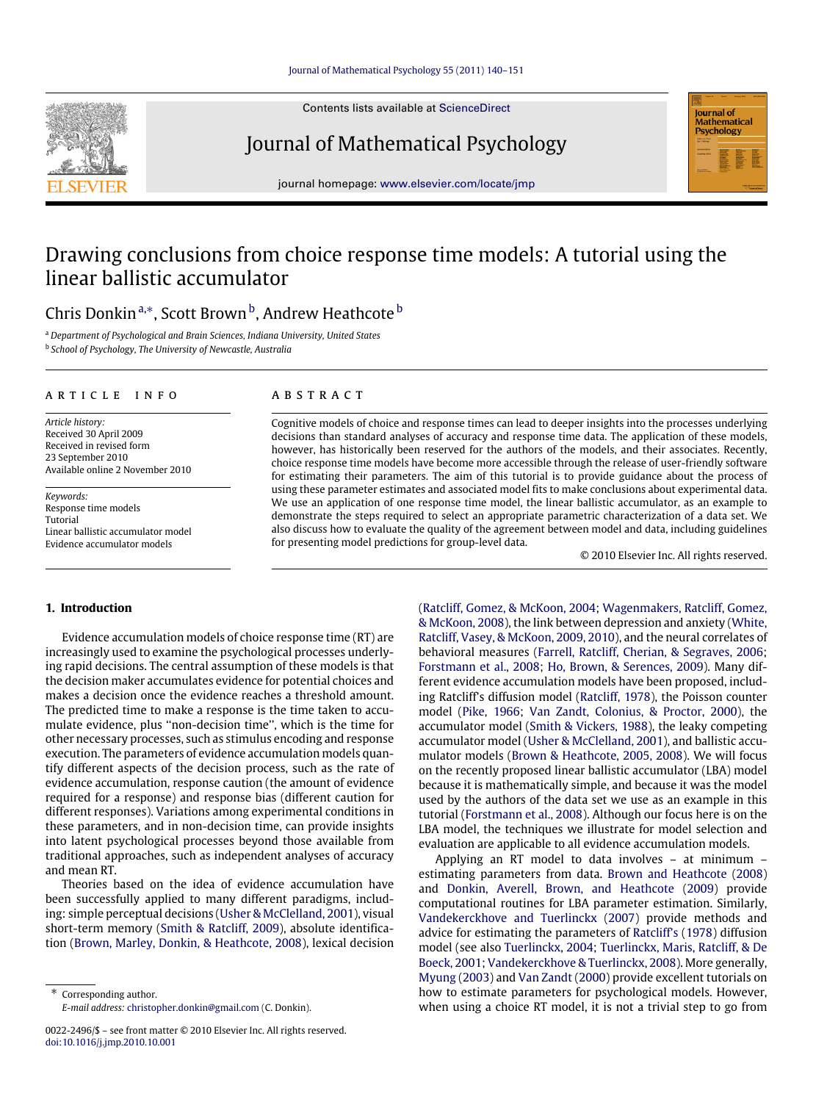Contents lists available at [ScienceDirect](http://www.elsevier.com/locate/jmp)

## Journal of Mathematical Psychology

journal homepage: [www.elsevier.com/locate/jmp](http://www.elsevier.com/locate/jmp)

# Drawing conclusions from choice response time models: A tutorial using the linear ballistic accumulator

## Chris Donkin ª,\*, Scott Brown <sup>[b](#page-0-2)</sup>, Andrew Heathcote <sup>b</sup>

<span id="page-0-2"></span><span id="page-0-0"></span><sup>a</sup> *Department of Psychological and Brain Sciences, Indiana University, United States* b *School of Psychology, The University of Newcastle, Australia*

#### ARTICLE INFO

*Article history:* Received 30 April 2009 Received in revised form 23 September 2010 Available online 2 November 2010

*Keywords:* Response time models Tutorial Linear ballistic accumulator model Evidence accumulator models

#### A B S T R A C T

Cognitive models of choice and response times can lead to deeper insights into the processes underlying decisions than standard analyses of accuracy and response time data. The application of these models, however, has historically been reserved for the authors of the models, and their associates. Recently, choice response time models have become more accessible through the release of user-friendly software for estimating their parameters. The aim of this tutorial is to provide guidance about the process of using these parameter estimates and associated model fits to make conclusions about experimental data. We use an application of one response time model, the linear ballistic accumulator, as an example to demonstrate the steps required to select an appropriate parametric characterization of a data set. We also discuss how to evaluate the quality of the agreement between model and data, including guidelines for presenting model predictions for group-level data.

© 2010 Elsevier Inc. All rights reserved.

## **1. Introduction**

Evidence accumulation models of choice response time (RT) are increasingly used to examine the psychological processes underlying rapid decisions. The central assumption of these models is that the decision maker accumulates evidence for potential choices and makes a decision once the evidence reaches a threshold amount. The predicted time to make a response is the time taken to accumulate evidence, plus ''non-decision time'', which is the time for other necessary processes, such as stimulus encoding and response execution. The parameters of evidence accumulation models quantify different aspects of the decision process, such as the rate of evidence accumulation, response caution (the amount of evidence required for a response) and response bias (different caution for different responses). Variations among experimental conditions in these parameters, and in non-decision time, can provide insights into latent psychological processes beyond those available from traditional approaches, such as independent analyses of accuracy and mean RT.

Theories based on the idea of evidence accumulation have been successfully applied to many different paradigms, including: simple perceptual decisions [\(Usher](#page-11-0) [&](#page-11-0) [McClelland,](#page-11-0) [2001\)](#page-11-0), visual short-term memory [\(Smith](#page-10-0) [&](#page-10-0) [Ratcliff,](#page-10-0) [2009\)](#page-10-0), absolute identification [\(Brown,](#page-10-1) [Marley,](#page-10-1) [Donkin,](#page-10-1) [&](#page-10-1) [Heathcote,](#page-10-1) [2008\)](#page-10-1), lexical decision

<span id="page-0-1"></span>Corresponding author. *E-mail address:* [christopher.donkin@gmail.com](mailto:christopher.donkin@gmail.com) (C. Donkin). [\(Ratcliff,](#page-10-2) [Gomez,](#page-10-2) [&](#page-10-2) [McKoon,](#page-10-2) [2004;](#page-10-2) [Wagenmakers,](#page-11-1) [Ratcliff,](#page-11-1) [Gomez,](#page-11-1) [&](#page-11-1) [McKoon,](#page-11-1) [2008\)](#page-11-1), the link between depression and anxiety [\(White,](#page-11-2) [Ratcliff,](#page-11-2) [Vasey,](#page-11-2) [&](#page-11-2) [McKoon,](#page-11-2) [2009,](#page-11-2) [2010\)](#page-11-3), and the neural correlates of behavioral measures [\(Farrell,](#page-10-3) [Ratcliff,](#page-10-3) [Cherian,](#page-10-3) [&](#page-10-3) [Segraves,](#page-10-3) [2006;](#page-10-3) [Forstmann](#page-10-4) [et al.,](#page-10-4) [2008;](#page-10-4) [Ho,](#page-10-5) [Brown,](#page-10-5) [&](#page-10-5) [Serences,](#page-10-5) [2009\)](#page-10-5). Many different evidence accumulation models have been proposed, including Ratcliff's diffusion model [\(Ratcliff,](#page-10-6) [1978\)](#page-10-6), the Poisson counter model [\(Pike,](#page-10-7) [1966;](#page-10-7) [Van](#page-11-4) [Zandt,](#page-11-4) [Colonius,](#page-11-4) [&](#page-11-4) [Proctor,](#page-11-4) [2000\)](#page-11-4), the accumulator model [\(Smith](#page-10-8) [&](#page-10-8) [Vickers,](#page-10-8) [1988\)](#page-10-8), the leaky competing accumulator model [\(Usher](#page-11-0) [&](#page-11-0) [McClelland,](#page-11-0) [2001\)](#page-11-0), and ballistic accumulator models [\(Brown](#page-10-9) [&](#page-10-9) [Heathcote,](#page-10-9) [2005,](#page-10-9) [2008\)](#page-10-10). We will focus on the recently proposed linear ballistic accumulator (LBA) model because it is mathematically simple, and because it was the model used by the authors of the data set we use as an example in this tutorial [\(Forstmann](#page-10-4) [et al.,](#page-10-4) [2008\)](#page-10-4). Although our focus here is on the LBA model, the techniques we illustrate for model selection and evaluation are applicable to all evidence accumulation models.

Applying an RT model to data involves – at minimum – estimating parameters from data. [Brown](#page-10-10) [and](#page-10-10) [Heathcote](#page-10-10) [\(2008\)](#page-10-10) and [Donkin,](#page-10-11) [Averell,](#page-10-11) [Brown,](#page-10-11) [and](#page-10-11) [Heathcote](#page-10-11) [\(2009\)](#page-10-11) provide computational routines for LBA parameter estimation. Similarly, [Vandekerckhove](#page-11-5) [and](#page-11-5) [Tuerlinckx](#page-11-5) [\(2007\)](#page-11-5) provide methods and advice for estimating the parameters of [Ratcliff's](#page-10-6) [\(1978\)](#page-10-6) diffusion model (see also [Tuerlinckx,](#page-10-12) [2004;](#page-10-12) [Tuerlinckx,](#page-11-6) [Maris,](#page-11-6) [Ratcliff,](#page-11-6) [&](#page-11-6) [De](#page-11-6) [Boeck,](#page-11-6) [2001;](#page-11-6) [Vandekerckhove](#page-11-7) [&](#page-11-7) [Tuerlinckx,](#page-11-7) [2008\)](#page-11-7). More generally, [Myung](#page-10-13) [\(2003\)](#page-10-13) and [Van](#page-11-8) [Zandt](#page-11-8) [\(2000\)](#page-11-8) provide excellent tutorials on how to estimate parameters for psychological models. However, when using a choice RT model, it is not a trivial step to go from





<sup>0022-2496/\$ –</sup> see front matter © 2010 Elsevier Inc. All rights reserved. [doi:10.1016/j.jmp.2010.10.001](http://dx.doi.org/10.1016/j.jmp.2010.10.001)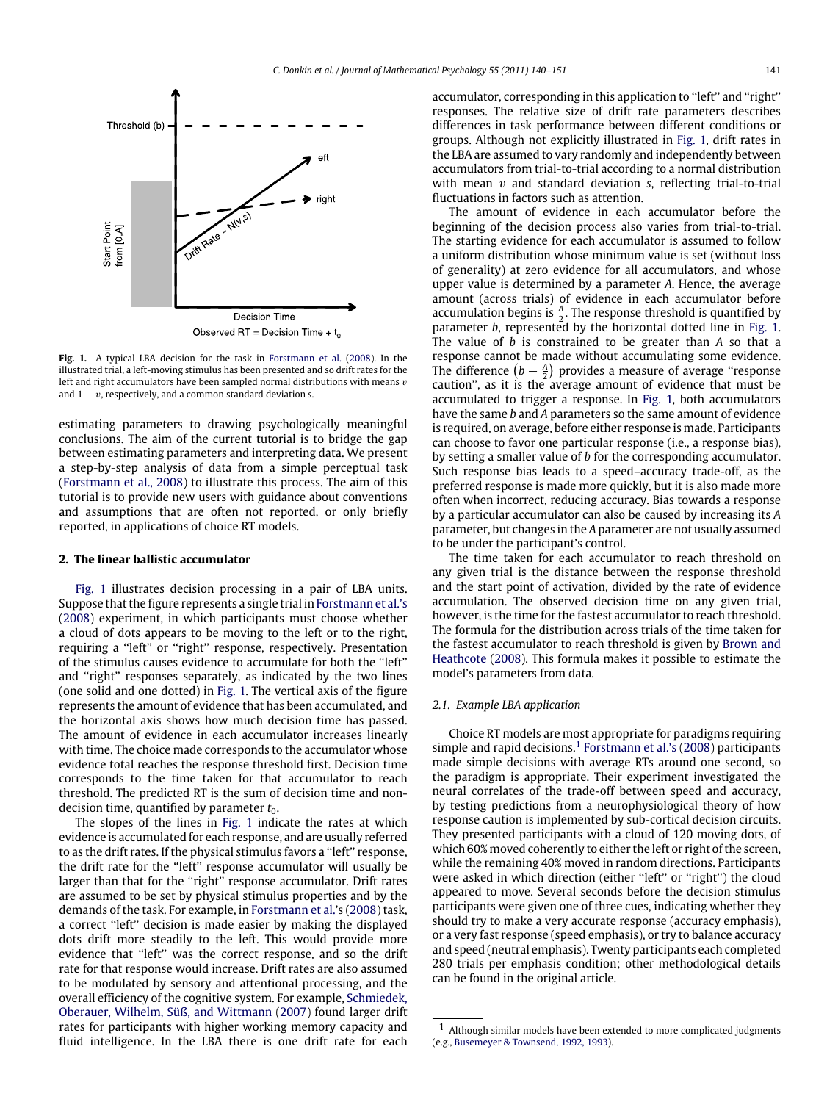<span id="page-1-0"></span>

**Fig. 1.** A typical LBA decision for the task in [Forstmann](#page-10-4) [et al.](#page-10-4) [\(2008\)](#page-10-4). In the illustrated trial, a left-moving stimulus has been presented and so drift rates for the left and right accumulators have been sampled normal distributions with means v and  $1 - v$ , respectively, and a common standard deviation *s*.

estimating parameters to drawing psychologically meaningful conclusions. The aim of the current tutorial is to bridge the gap between estimating parameters and interpreting data. We present a step-by-step analysis of data from a simple perceptual task [\(Forstmann](#page-10-4) [et al.,](#page-10-4) [2008\)](#page-10-4) to illustrate this process. The aim of this tutorial is to provide new users with guidance about conventions and assumptions that are often not reported, or only briefly reported, in applications of choice RT models.

## **2. The linear ballistic accumulator**

[Fig. 1](#page-1-0) illustrates decision processing in a pair of LBA units. Suppose that the figure represents a single trial in [Forstmann](#page-10-4) [et](#page-10-4) [al.'s](#page-10-4) [\(2008\)](#page-10-4) experiment, in which participants must choose whether a cloud of dots appears to be moving to the left or to the right, requiring a ''left'' or ''right'' response, respectively. Presentation of the stimulus causes evidence to accumulate for both the ''left'' and "right" responses separately, as indicated by the two lines (one solid and one dotted) in [Fig. 1.](#page-1-0) The vertical axis of the figure represents the amount of evidence that has been accumulated, and the horizontal axis shows how much decision time has passed. The amount of evidence in each accumulator increases linearly with time. The choice made corresponds to the accumulator whose evidence total reaches the response threshold first. Decision time corresponds to the time taken for that accumulator to reach threshold. The predicted RT is the sum of decision time and nondecision time, quantified by parameter  $t_0$ .

The slopes of the lines in [Fig. 1](#page-1-0) indicate the rates at which evidence is accumulated for each response, and are usually referred to as the drift rates. If the physical stimulus favors a ''left'' response, the drift rate for the ''left'' response accumulator will usually be larger than that for the "right" response accumulator. Drift rates are assumed to be set by physical stimulus properties and by the demands of the task. For example, in [Forstmann](#page-10-4) [et al.'](#page-10-4)s [\(2008\)](#page-10-4) task, a correct ''left'' decision is made easier by making the displayed dots drift more steadily to the left. This would provide more evidence that ''left'' was the correct response, and so the drift rate for that response would increase. Drift rates are also assumed to be modulated by sensory and attentional processing, and the overall efficiency of the cognitive system. For example, [Schmiedek,](#page-10-14) [Oberauer,](#page-10-14) [Wilhelm,](#page-10-14) [Süß,](#page-10-14) [and](#page-10-14) [Wittmann](#page-10-14) [\(2007\)](#page-10-14) found larger drift rates for participants with higher working memory capacity and fluid intelligence. In the LBA there is one drift rate for each accumulator, corresponding in this application to ''left'' and ''right'' responses. The relative size of drift rate parameters describes differences in task performance between different conditions or groups. Although not explicitly illustrated in [Fig. 1,](#page-1-0) drift rates in the LBA are assumed to vary randomly and independently between accumulators from trial-to-trial according to a normal distribution with mean v and standard deviation *s*, reflecting trial-to-trial fluctuations in factors such as attention.

The amount of evidence in each accumulator before the beginning of the decision process also varies from trial-to-trial. The starting evidence for each accumulator is assumed to follow a uniform distribution whose minimum value is set (without loss of generality) at zero evidence for all accumulators, and whose upper value is determined by a parameter *A*. Hence, the average amount (across trials) of evidence in each accumulator before accumulation begins is  $\frac{A}{2}$ . The response threshold is quantified by parameter *b*, represented by the horizontal dotted line in [Fig. 1.](#page-1-0) The value of *b* is constrained to be greater than *A* so that a response cannot be made without accumulating some evidence. The difference  $(b - \frac{A}{2})$  provides a measure of average "response" caution'', as it is the average amount of evidence that must be accumulated to trigger a response. In [Fig. 1,](#page-1-0) both accumulators have the same *b* and *A* parameters so the same amount of evidence is required, on average, before either response is made. Participants can choose to favor one particular response (i.e., a response bias), by setting a smaller value of *b* for the corresponding accumulator. Such response bias leads to a speed–accuracy trade-off, as the preferred response is made more quickly, but it is also made more often when incorrect, reducing accuracy. Bias towards a response by a particular accumulator can also be caused by increasing its *A* parameter, but changes in the *A* parameter are not usually assumed to be under the participant's control.

The time taken for each accumulator to reach threshold on any given trial is the distance between the response threshold and the start point of activation, divided by the rate of evidence accumulation. The observed decision time on any given trial, however, is the time for the fastest accumulator to reach threshold. The formula for the distribution across trials of the time taken for the fastest accumulator to reach threshold is given by [Brown](#page-10-10) [and](#page-10-10) [Heathcote](#page-10-10) [\(2008\)](#page-10-10). This formula makes it possible to estimate the model's parameters from data.

## *2.1. Example LBA application*

Choice RT models are most appropriate for paradigms requiring simple and rapid decisions.<sup>[1](#page-1-1)</sup> [Forstmann](#page-10-4) [et](#page-10-4) [al.'s](#page-10-4) [\(2008\)](#page-10-4) participants made simple decisions with average RTs around one second, so the paradigm is appropriate. Their experiment investigated the neural correlates of the trade-off between speed and accuracy, by testing predictions from a neurophysiological theory of how response caution is implemented by sub-cortical decision circuits. They presented participants with a cloud of 120 moving dots, of which 60% moved coherently to either the left or right of the screen, while the remaining 40% moved in random directions. Participants were asked in which direction (either "left" or "right") the cloud appeared to move. Several seconds before the decision stimulus participants were given one of three cues, indicating whether they should try to make a very accurate response (accuracy emphasis), or a very fast response (speed emphasis), or try to balance accuracy and speed (neutral emphasis). Twenty participants each completed 280 trials per emphasis condition; other methodological details can be found in the original article.

<span id="page-1-1"></span> $^{\rm 1}$  Although similar models have been extended to more complicated judgments (e.g., [Busemeyer](#page-10-15) [&](#page-10-15) [Townsend,](#page-10-15) [1992,](#page-10-15) [1993\)](#page-10-16).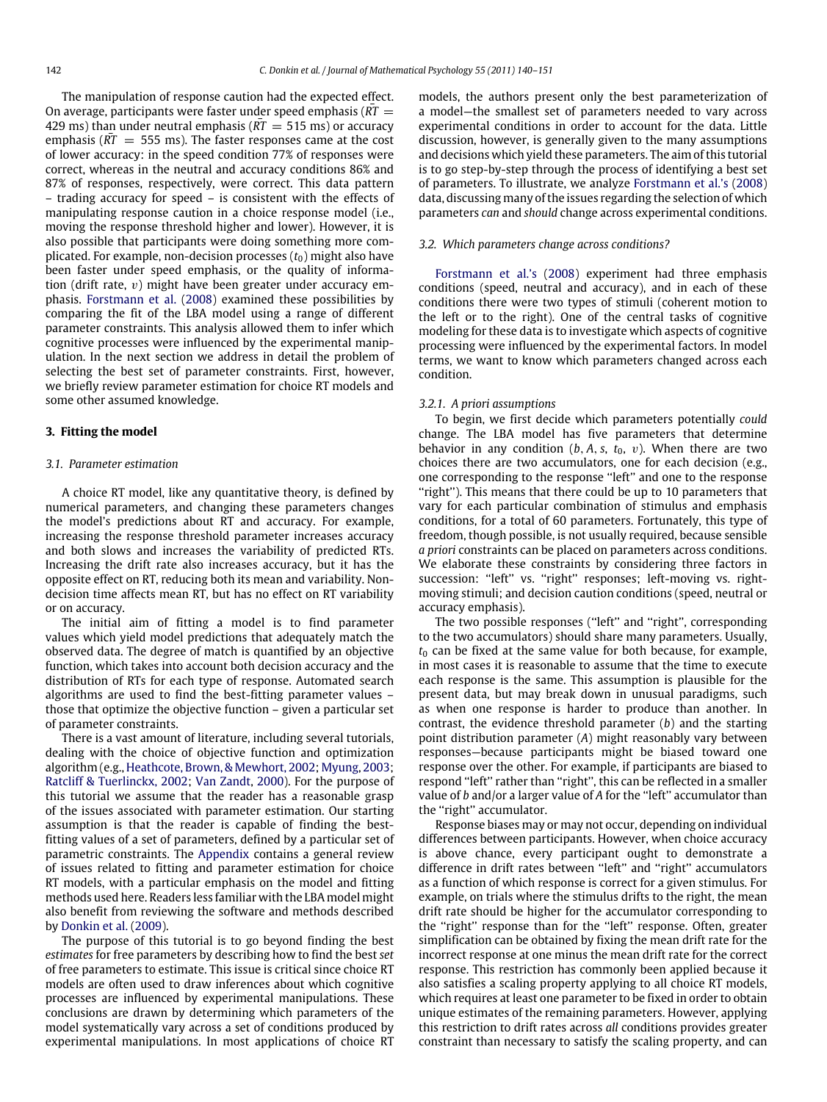The manipulation of response caution had the expected effect. On average, participants were faster under speed emphasis ( $\overline{RT}$  = 429 ms) than under neutral emphasis ( $\overline{RT}$  = 515 ms) or accuracy emphasis ( $\overline{RT}$  = 555 ms). The faster responses came at the cost of lower accuracy: in the speed condition 77% of responses were correct, whereas in the neutral and accuracy conditions 86% and 87% of responses, respectively, were correct. This data pattern – trading accuracy for speed – is consistent with the effects of manipulating response caution in a choice response model (i.e., moving the response threshold higher and lower). However, it is also possible that participants were doing something more complicated. For example, non-decision processes  $(t_0)$  might also have been faster under speed emphasis, or the quality of information (drift rate,  $v$ ) might have been greater under accuracy emphasis. [Forstmann](#page-10-4) [et al.](#page-10-4) [\(2008\)](#page-10-4) examined these possibilities by comparing the fit of the LBA model using a range of different parameter constraints. This analysis allowed them to infer which cognitive processes were influenced by the experimental manipulation. In the next section we address in detail the problem of selecting the best set of parameter constraints. First, however, we briefly review parameter estimation for choice RT models and some other assumed knowledge.

### **3. Fitting the model**

### *3.1. Parameter estimation*

A choice RT model, like any quantitative theory, is defined by numerical parameters, and changing these parameters changes the model's predictions about RT and accuracy. For example, increasing the response threshold parameter increases accuracy and both slows and increases the variability of predicted RTs. Increasing the drift rate also increases accuracy, but it has the opposite effect on RT, reducing both its mean and variability. Nondecision time affects mean RT, but has no effect on RT variability or on accuracy.

The initial aim of fitting a model is to find parameter values which yield model predictions that adequately match the observed data. The degree of match is quantified by an objective function, which takes into account both decision accuracy and the distribution of RTs for each type of response. Automated search algorithms are used to find the best-fitting parameter values – those that optimize the objective function – given a particular set of parameter constraints.

There is a vast amount of literature, including several tutorials, dealing with the choice of objective function and optimization algorithm (e.g., [Heathcote,](#page-10-17) [Brown,&](#page-10-17) [Mewhort,](#page-10-17) [2002;](#page-10-17) [Myung,](#page-10-13) [2003;](#page-10-13) [Ratcliff](#page-10-18) [&](#page-10-18) [Tuerlinckx,](#page-10-18) [2002;](#page-10-18) [Van](#page-11-8) [Zandt,](#page-11-8) [2000\)](#page-11-8). For the purpose of this tutorial we assume that the reader has a reasonable grasp of the issues associated with parameter estimation. Our starting assumption is that the reader is capable of finding the bestfitting values of a set of parameters, defined by a particular set of parametric constraints. The [Appendix](#page-7-0) contains a general review of issues related to fitting and parameter estimation for choice RT models, with a particular emphasis on the model and fitting methods used here. Readers less familiar with the LBA model might also benefit from reviewing the software and methods described by [Donkin](#page-10-11) [et al.](#page-10-11) [\(2009\)](#page-10-11).

The purpose of this tutorial is to go beyond finding the best *estimates* for free parameters by describing how to find the best *set* of free parameters to estimate. This issue is critical since choice RT models are often used to draw inferences about which cognitive processes are influenced by experimental manipulations. These conclusions are drawn by determining which parameters of the model systematically vary across a set of conditions produced by experimental manipulations. In most applications of choice RT models, the authors present only the best parameterization of a model—the smallest set of parameters needed to vary across experimental conditions in order to account for the data. Little discussion, however, is generally given to the many assumptions and decisions which yield these parameters. The aim of this tutorial is to go step-by-step through the process of identifying a best set of parameters. To illustrate, we analyze [Forstmann](#page-10-4) [et](#page-10-4) [al.'s](#page-10-4) [\(2008\)](#page-10-4) data, discussing many of the issues regarding the selection of which parameters *can* and *should* change across experimental conditions.

#### *3.2. Which parameters change across conditions?*

[Forstmann](#page-10-4) [et](#page-10-4) [al.'s](#page-10-4) [\(2008\)](#page-10-4) experiment had three emphasis conditions (speed, neutral and accuracy), and in each of these conditions there were two types of stimuli (coherent motion to the left or to the right). One of the central tasks of cognitive modeling for these data is to investigate which aspects of cognitive processing were influenced by the experimental factors. In model terms, we want to know which parameters changed across each condition.

#### *3.2.1. A priori assumptions*

To begin, we first decide which parameters potentially *could* change. The LBA model has five parameters that determine behavior in any condition  $(b, A, s, t_0, v)$ . When there are two choices there are two accumulators, one for each decision (e.g., one corresponding to the response ''left'' and one to the response "right"). This means that there could be up to 10 parameters that vary for each particular combination of stimulus and emphasis conditions, for a total of 60 parameters. Fortunately, this type of freedom, though possible, is not usually required, because sensible *a priori* constraints can be placed on parameters across conditions. We elaborate these constraints by considering three factors in succession: "left" vs. "right" responses; left-moving vs. rightmoving stimuli; and decision caution conditions (speed, neutral or accuracy emphasis).

The two possible responses (''left'' and ''right'', corresponding to the two accumulators) should share many parameters. Usually,  $t_0$  can be fixed at the same value for both because, for example, in most cases it is reasonable to assume that the time to execute each response is the same. This assumption is plausible for the present data, but may break down in unusual paradigms, such as when one response is harder to produce than another. In contrast, the evidence threshold parameter (*b*) and the starting point distribution parameter (*A*) might reasonably vary between responses—because participants might be biased toward one response over the other. For example, if participants are biased to respond ''left'' rather than ''right'', this can be reflected in a smaller value of *b* and/or a larger value of *A* for the ''left'' accumulator than the ''right'' accumulator.

Response biases may or may not occur, depending on individual differences between participants. However, when choice accuracy is above chance, every participant ought to demonstrate a difference in drift rates between ''left'' and ''right'' accumulators as a function of which response is correct for a given stimulus. For example, on trials where the stimulus drifts to the right, the mean drift rate should be higher for the accumulator corresponding to the "right" response than for the "left" response. Often, greater simplification can be obtained by fixing the mean drift rate for the incorrect response at one minus the mean drift rate for the correct response. This restriction has commonly been applied because it also satisfies a scaling property applying to all choice RT models, which requires at least one parameter to be fixed in order to obtain unique estimates of the remaining parameters. However, applying this restriction to drift rates across *all* conditions provides greater constraint than necessary to satisfy the scaling property, and can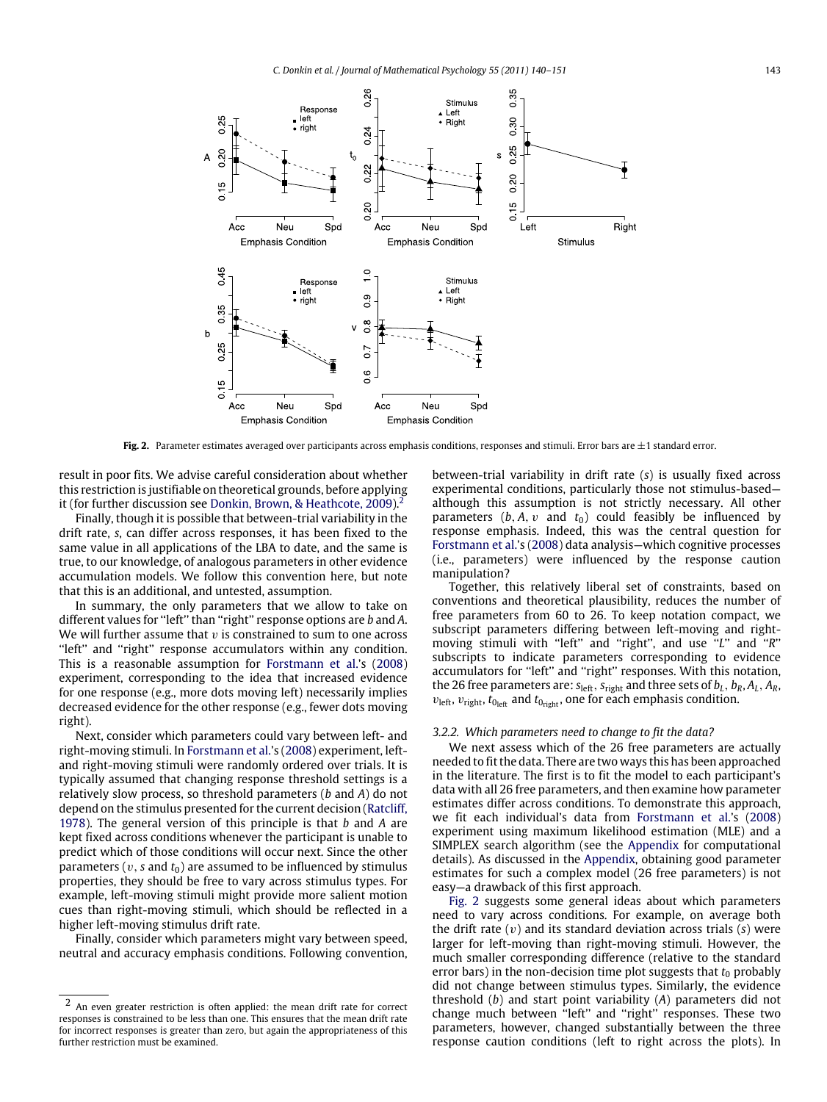<span id="page-3-1"></span>

**Fig. 2.** Parameter estimates averaged over participants across emphasis conditions, responses and stimuli. Error bars are  $\pm 1$  standard error.

result in poor fits. We advise careful consideration about whether this restriction is justifiable on theoretical grounds, before applying it (for further discussion see [Donkin,](#page-10-19) [Brown,](#page-10-19) [&](#page-10-19) [Heathcote,](#page-10-19) [2009\)](#page-10-19).<sup>[2](#page-3-0)</sup>

Finally, though it is possible that between-trial variability in the drift rate, *s*, can differ across responses, it has been fixed to the same value in all applications of the LBA to date, and the same is true, to our knowledge, of analogous parameters in other evidence accumulation models. We follow this convention here, but note that this is an additional, and untested, assumption.

In summary, the only parameters that we allow to take on different values for ''left'' than ''right'' response options are *b* and *A*. We will further assume that  $v$  is constrained to sum to one across "left" and "right" response accumulators within any condition. This is a reasonable assumption for [Forstmann](#page-10-4) [et al.'](#page-10-4)s [\(2008\)](#page-10-4) experiment, corresponding to the idea that increased evidence for one response (e.g., more dots moving left) necessarily implies decreased evidence for the other response (e.g., fewer dots moving right).

Next, consider which parameters could vary between left- and right-moving stimuli. In [Forstmann](#page-10-4) [et al.'](#page-10-4)s [\(2008\)](#page-10-4) experiment, leftand right-moving stimuli were randomly ordered over trials. It is typically assumed that changing response threshold settings is a relatively slow process, so threshold parameters (*b* and *A*) do not depend on the stimulus presented for the current decision [\(Ratcliff,](#page-10-6) [1978\)](#page-10-6). The general version of this principle is that *b* and *A* are kept fixed across conditions whenever the participant is unable to predict which of those conditions will occur next. Since the other parameters  $(v, s \text{ and } t_0)$  are assumed to be influenced by stimulus properties, they should be free to vary across stimulus types. For example, left-moving stimuli might provide more salient motion cues than right-moving stimuli, which should be reflected in a higher left-moving stimulus drift rate.

Finally, consider which parameters might vary between speed, neutral and accuracy emphasis conditions. Following convention, between-trial variability in drift rate (*s*) is usually fixed across experimental conditions, particularly those not stimulus-based although this assumption is not strictly necessary. All other parameters  $(b, A, v$  and  $t_0$ ) could feasibly be influenced by response emphasis. Indeed, this was the central question for [Forstmann](#page-10-4) [et al.'](#page-10-4)s [\(2008\)](#page-10-4) data analysis—which cognitive processes (i.e., parameters) were influenced by the response caution manipulation?

Together, this relatively liberal set of constraints, based on conventions and theoretical plausibility, reduces the number of free parameters from 60 to 26. To keep notation compact, we subscript parameters differing between left-moving and rightmoving stimuli with "left" and "right", and use "*L*" and "*R*" subscripts to indicate parameters corresponding to evidence accumulators for ''left'' and ''right'' responses. With this notation, the 26 free parameters are: *s*left, *s*right and three sets of *bL*, *bR*, *AL*, *AR*,  $v_{\text{left}}$ ,  $v_{\text{right}}$ ,  $t_{0_{\text{left}}}$  and  $t_{0_{\text{right}}}$ , one for each emphasis condition.

## *3.2.2. Which parameters need to change to fit the data?*

We next assess which of the 26 free parameters are actually needed to fit the data. There are two ways this has been approached in the literature. The first is to fit the model to each participant's data with all 26 free parameters, and then examine how parameter estimates differ across conditions. To demonstrate this approach, we fit each individual's data from [Forstmann](#page-10-4) [et al.'](#page-10-4)s [\(2008\)](#page-10-4) experiment using maximum likelihood estimation (MLE) and a SIMPLEX search algorithm (see the [Appendix](#page-7-0) for computational details). As discussed in the [Appendix,](#page-7-0) obtaining good parameter estimates for such a complex model (26 free parameters) is not easy—a drawback of this first approach.

[Fig. 2](#page-3-1) suggests some general ideas about which parameters need to vary across conditions. For example, on average both the drift rate (v) and its standard deviation across trials (*s*) were larger for left-moving than right-moving stimuli. However, the much smaller corresponding difference (relative to the standard error bars) in the non-decision time plot suggests that  $t_0$  probably did not change between stimulus types. Similarly, the evidence threshold (*b*) and start point variability (*A*) parameters did not change much between ''left'' and ''right'' responses. These two parameters, however, changed substantially between the three response caution conditions (left to right across the plots). In

<span id="page-3-0"></span><sup>2</sup> An even greater restriction is often applied: the mean drift rate for correct responses is constrained to be less than one. This ensures that the mean drift rate for incorrect responses is greater than zero, but again the appropriateness of this further restriction must be examined.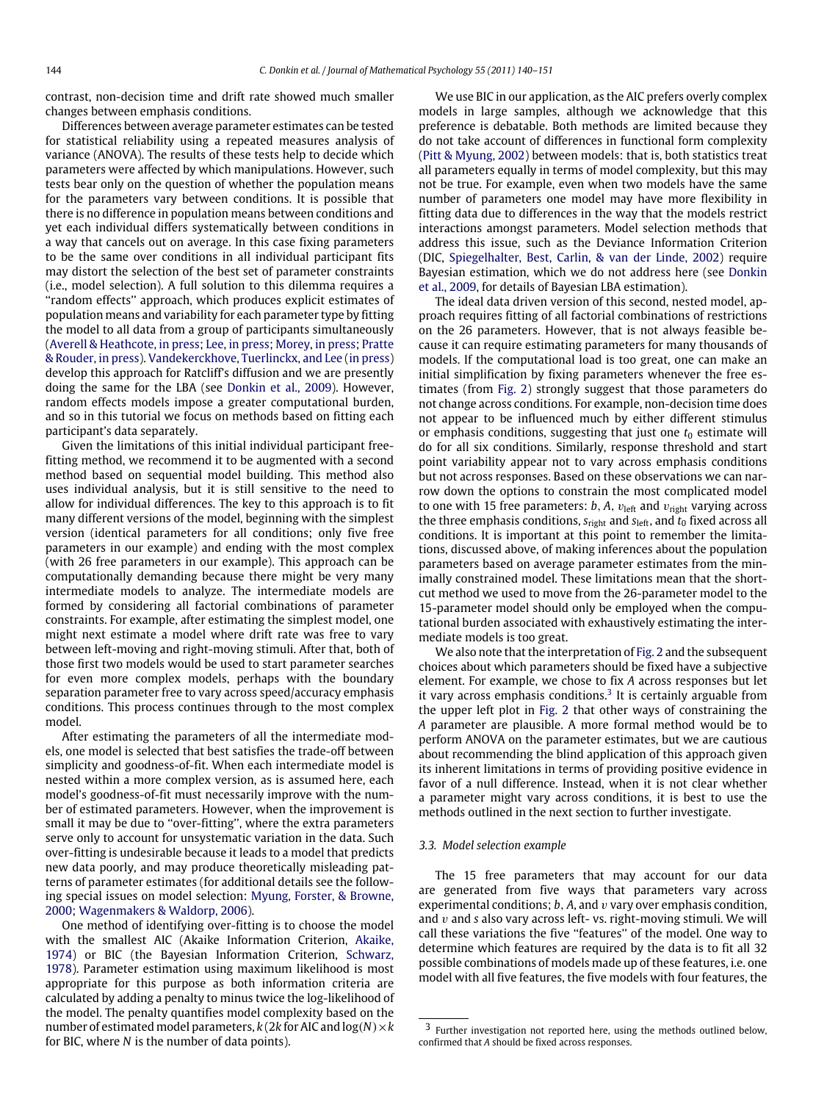contrast, non-decision time and drift rate showed much smaller changes between emphasis conditions.

Differences between average parameter estimates can be tested for statistical reliability using a repeated measures analysis of variance (ANOVA). The results of these tests help to decide which parameters were affected by which manipulations. However, such tests bear only on the question of whether the population means for the parameters vary between conditions. It is possible that there is no difference in population means between conditions and yet each individual differs systematically between conditions in a way that cancels out on average. In this case fixing parameters to be the same over conditions in all individual participant fits may distort the selection of the best set of parameter constraints (i.e., model selection). A full solution to this dilemma requires a ''random effects'' approach, which produces explicit estimates of population means and variability for each parameter type by fitting the model to all data from a group of participants simultaneously [\(Averell](#page-10-20) [&](#page-10-20) [Heathcote,](#page-10-20) [in press;](#page-10-20) [Lee,](#page-10-21) [in press;](#page-10-21) [Morey,](#page-10-22) [in press;](#page-10-22) [Pratte](#page-10-23) [&](#page-10-23) [Rouder,](#page-10-23) [in press\)](#page-10-23). [Vandekerckhove,](#page-11-9) [Tuerlinckx,](#page-11-9) [and](#page-11-9) [Lee](#page-11-9) [\(in press\)](#page-11-9) develop this approach for Ratcliff's diffusion and we are presently doing the same for the LBA (see [Donkin](#page-10-11) [et al.,](#page-10-11) [2009\)](#page-10-11). However, random effects models impose a greater computational burden, and so in this tutorial we focus on methods based on fitting each participant's data separately.

Given the limitations of this initial individual participant freefitting method, we recommend it to be augmented with a second method based on sequential model building. This method also uses individual analysis, but it is still sensitive to the need to allow for individual differences. The key to this approach is to fit many different versions of the model, beginning with the simplest version (identical parameters for all conditions; only five free parameters in our example) and ending with the most complex (with 26 free parameters in our example). This approach can be computationally demanding because there might be very many intermediate models to analyze. The intermediate models are formed by considering all factorial combinations of parameter constraints. For example, after estimating the simplest model, one might next estimate a model where drift rate was free to vary between left-moving and right-moving stimuli. After that, both of those first two models would be used to start parameter searches for even more complex models, perhaps with the boundary separation parameter free to vary across speed/accuracy emphasis conditions. This process continues through to the most complex model.

After estimating the parameters of all the intermediate models, one model is selected that best satisfies the trade-off between simplicity and goodness-of-fit. When each intermediate model is nested within a more complex version, as is assumed here, each model's goodness-of-fit must necessarily improve with the number of estimated parameters. However, when the improvement is small it may be due to ''over-fitting'', where the extra parameters serve only to account for unsystematic variation in the data. Such over-fitting is undesirable because it leads to a model that predicts new data poorly, and may produce theoretically misleading patterns of parameter estimates (for additional details see the following special issues on model selection: [Myung,](#page-10-24) [Forster,](#page-10-24) [&](#page-10-24) [Browne,](#page-10-24) [2000;](#page-10-24) [Wagenmakers](#page-11-10) [&](#page-11-10) [Waldorp,](#page-11-10) [2006\)](#page-11-10).

One method of identifying over-fitting is to choose the model with the smallest AIC (Akaike Information Criterion, [Akaike,](#page-10-25) [1974\)](#page-10-25) or BIC (the Bayesian Information Criterion, [Schwarz,](#page-10-26) [1978\)](#page-10-26). Parameter estimation using maximum likelihood is most appropriate for this purpose as both information criteria are calculated by adding a penalty to minus twice the log-likelihood of the model. The penalty quantifies model complexity based on the number of estimated model parameters,  $k$  (2 $k$  for AIC and  $log(N) \times k$ for BIC, where *N* is the number of data points).

We use BIC in our application, as the AIC prefers overly complex models in large samples, although we acknowledge that this preference is debatable. Both methods are limited because they do not take account of differences in functional form complexity [\(Pitt](#page-10-27) [&](#page-10-27) [Myung,](#page-10-27) [2002\)](#page-10-27) between models: that is, both statistics treat all parameters equally in terms of model complexity, but this may not be true. For example, even when two models have the same number of parameters one model may have more flexibility in fitting data due to differences in the way that the models restrict interactions amongst parameters. Model selection methods that address this issue, such as the Deviance Information Criterion (DIC, [Spiegelhalter,](#page-10-28) [Best,](#page-10-28) [Carlin,](#page-10-28) [&](#page-10-28) [van](#page-10-28) [der](#page-10-28) [Linde,](#page-10-28) [2002\)](#page-10-28) require Bayesian estimation, which we do not address here (see [Donkin](#page-10-11) [et al.,](#page-10-11) [2009,](#page-10-11) for details of Bayesian LBA estimation).

The ideal data driven version of this second, nested model, approach requires fitting of all factorial combinations of restrictions on the 26 parameters. However, that is not always feasible because it can require estimating parameters for many thousands of models. If the computational load is too great, one can make an initial simplification by fixing parameters whenever the free estimates (from [Fig. 2\)](#page-3-1) strongly suggest that those parameters do not change across conditions. For example, non-decision time does not appear to be influenced much by either different stimulus or emphasis conditions, suggesting that just one  $t_0$  estimate will do for all six conditions. Similarly, response threshold and start point variability appear not to vary across emphasis conditions but not across responses. Based on these observations we can narrow down the options to constrain the most complicated model to one with 15 free parameters:  $b$ ,  $A$ ,  $v_{\text{left}}$  and  $v_{\text{right}}$  varying across the three emphasis conditions,  $s_{\text{right}}$  and  $s_{\text{left}}$ , and  $t_0$  fixed across all conditions. It is important at this point to remember the limitations, discussed above, of making inferences about the population parameters based on average parameter estimates from the minimally constrained model. These limitations mean that the shortcut method we used to move from the 26-parameter model to the 15-parameter model should only be employed when the computational burden associated with exhaustively estimating the intermediate models is too great.

We also note that the interpretation of [Fig. 2](#page-3-1) and the subsequent choices about which parameters should be fixed have a subjective element. For example, we chose to fix *A* across responses but let it vary across emphasis conditions.<sup>[3](#page-4-0)</sup> It is certainly arguable from the upper left plot in [Fig. 2](#page-3-1) that other ways of constraining the *A* parameter are plausible. A more formal method would be to perform ANOVA on the parameter estimates, but we are cautious about recommending the blind application of this approach given its inherent limitations in terms of providing positive evidence in favor of a null difference. Instead, when it is not clear whether a parameter might vary across conditions, it is best to use the methods outlined in the next section to further investigate.

## *3.3. Model selection example*

The 15 free parameters that may account for our data are generated from five ways that parameters vary across experimental conditions; *b*, *A*, and v vary over emphasis condition, and v and *s* also vary across left- vs. right-moving stimuli. We will call these variations the five ''features'' of the model. One way to determine which features are required by the data is to fit all 32 possible combinations of models made up of these features, i.e. one model with all five features, the five models with four features, the

<span id="page-4-0"></span><sup>3</sup> Further investigation not reported here, using the methods outlined below, confirmed that *A* should be fixed across responses.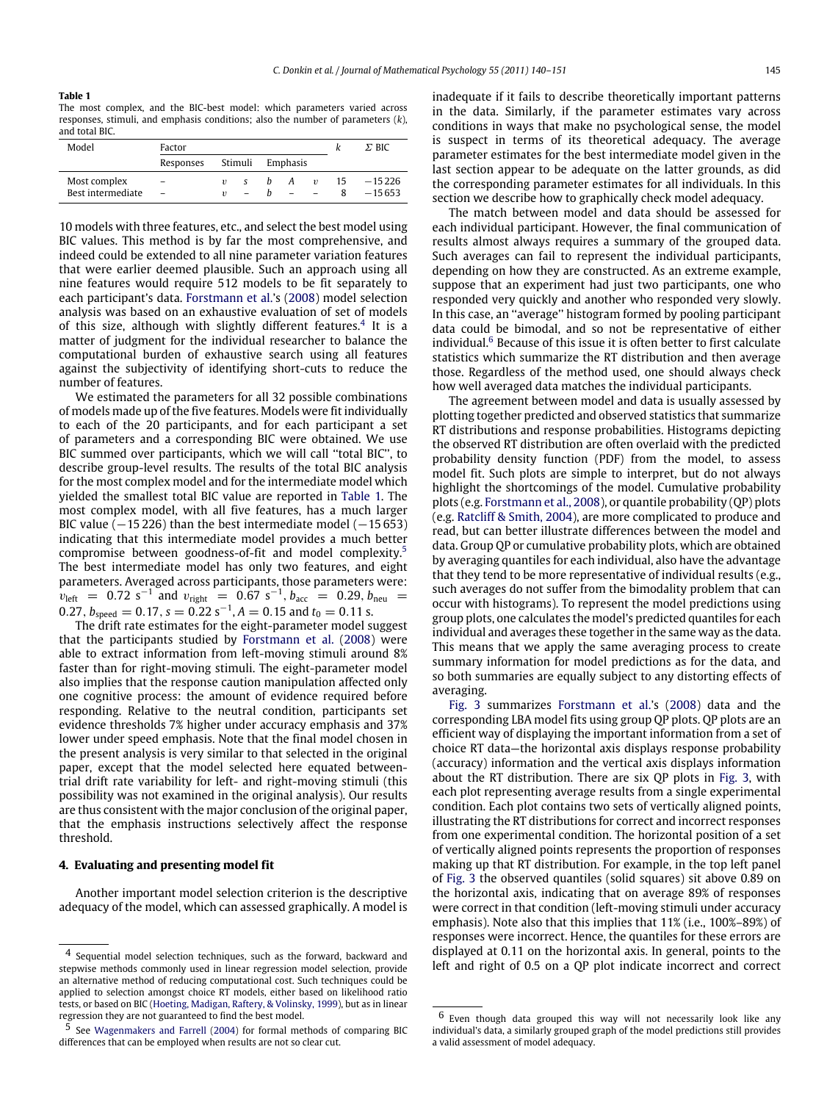<span id="page-5-1"></span>**Table 1**

The most complex, and the BIC-best model: which parameters varied across responses, stimuli, and emphasis conditions; also the number of parameters (*k*), and total BIC.

| Model             | Factor                   |         |                          |          |   |        |     | $\Sigma$ BIC |
|-------------------|--------------------------|---------|--------------------------|----------|---|--------|-----|--------------|
|                   | Responses                | Stimuli |                          | Emphasis |   |        |     |              |
| Most complex      | $\overline{\phantom{m}}$ |         | <sup>c</sup>             | h        | A | $\eta$ | 15. | $-15226$     |
| Best intermediate | $\overline{a}$           |         | $\overline{\phantom{0}}$ |          |   |        |     | $-15653$     |

10 models with three features, etc., and select the best model using BIC values. This method is by far the most comprehensive, and indeed could be extended to all nine parameter variation features that were earlier deemed plausible. Such an approach using all nine features would require 512 models to be fit separately to each participant's data. [Forstmann](#page-10-4) [et al.'](#page-10-4)s [\(2008\)](#page-10-4) model selection analysis was based on an exhaustive evaluation of set of models of this size, although with slightly different features.<sup>[4](#page-5-0)</sup> It is a matter of judgment for the individual researcher to balance the computational burden of exhaustive search using all features against the subjectivity of identifying short-cuts to reduce the number of features.

We estimated the parameters for all 32 possible combinations of models made up of the five features. Models were fit individually to each of the 20 participants, and for each participant a set of parameters and a corresponding BIC were obtained. We use BIC summed over participants, which we will call ''total BIC'', to describe group-level results. The results of the total BIC analysis for the most complex model and for the intermediate model which yielded the smallest total BIC value are reported in [Table 1.](#page-5-1) The most complex model, with all five features, has a much larger BIC value ( $-15226$ ) than the best intermediate model ( $-15653$ ) indicating that this intermediate model provides a much better compromise between goodness-of-fit and model complexity.[5](#page-5-2) The best intermediate model has only two features, and eight parameters. Averaged across participants, those parameters were:  $v_{\text{left}}$  = 0.72 s<sup>-1</sup> and  $v_{\text{right}}$  = 0.67 s<sup>-1</sup>,  $b_{\text{acc}}$  = 0.29,  $b_{\text{neu}}$  =  $0.27, b_{\text{speed}} = 0.17, s = 0.22 s^{-1}, A = 0.15 \text{ and } t_0 = 0.11 \text{ s}.$ 

The drift rate estimates for the eight-parameter model suggest that the participants studied by [Forstmann](#page-10-4) [et al.](#page-10-4) [\(2008\)](#page-10-4) were able to extract information from left-moving stimuli around 8% faster than for right-moving stimuli. The eight-parameter model also implies that the response caution manipulation affected only one cognitive process: the amount of evidence required before responding. Relative to the neutral condition, participants set evidence thresholds 7% higher under accuracy emphasis and 37% lower under speed emphasis. Note that the final model chosen in the present analysis is very similar to that selected in the original paper, except that the model selected here equated betweentrial drift rate variability for left- and right-moving stimuli (this possibility was not examined in the original analysis). Our results are thus consistent with the major conclusion of the original paper, that the emphasis instructions selectively affect the response threshold.

## **4. Evaluating and presenting model fit**

Another important model selection criterion is the descriptive adequacy of the model, which can assessed graphically. A model is inadequate if it fails to describe theoretically important patterns in the data. Similarly, if the parameter estimates vary across conditions in ways that make no psychological sense, the model is suspect in terms of its theoretical adequacy. The average parameter estimates for the best intermediate model given in the last section appear to be adequate on the latter grounds, as did the corresponding parameter estimates for all individuals. In this section we describe how to graphically check model adequacy.

The match between model and data should be assessed for each individual participant. However, the final communication of results almost always requires a summary of the grouped data. Such averages can fail to represent the individual participants, depending on how they are constructed. As an extreme example, suppose that an experiment had just two participants, one who responded very quickly and another who responded very slowly. In this case, an ''average'' histogram formed by pooling participant data could be bimodal, and so not be representative of either individual.[6](#page-5-3) Because of this issue it is often better to first calculate statistics which summarize the RT distribution and then average those. Regardless of the method used, one should always check how well averaged data matches the individual participants.

The agreement between model and data is usually assessed by plotting together predicted and observed statistics that summarize RT distributions and response probabilities. Histograms depicting the observed RT distribution are often overlaid with the predicted probability density function (PDF) from the model, to assess model fit. Such plots are simple to interpret, but do not always highlight the shortcomings of the model. Cumulative probability plots (e.g. [Forstmann](#page-10-4) [et al.,](#page-10-4) [2008\)](#page-10-4), or quantile probability (QP) plots (e.g. [Ratcliff](#page-10-30) [&](#page-10-30) [Smith,](#page-10-30) [2004\)](#page-10-30), are more complicated to produce and read, but can better illustrate differences between the model and data. Group QP or cumulative probability plots, which are obtained by averaging quantiles for each individual, also have the advantage that they tend to be more representative of individual results (e.g., such averages do not suffer from the bimodality problem that can occur with histograms). To represent the model predictions using group plots, one calculates the model's predicted quantiles for each individual and averages these together in the same way as the data. This means that we apply the same averaging process to create summary information for model predictions as for the data, and so both summaries are equally subject to any distorting effects of averaging.

[Fig. 3](#page-6-0) summarizes [Forstmann](#page-10-4) [et al.'](#page-10-4)s [\(2008\)](#page-10-4) data and the corresponding LBA model fits using group QP plots. QP plots are an efficient way of displaying the important information from a set of choice RT data—the horizontal axis displays response probability (accuracy) information and the vertical axis displays information about the RT distribution. There are six QP plots in [Fig. 3,](#page-6-0) with each plot representing average results from a single experimental condition. Each plot contains two sets of vertically aligned points, illustrating the RT distributions for correct and incorrect responses from one experimental condition. The horizontal position of a set of vertically aligned points represents the proportion of responses making up that RT distribution. For example, in the top left panel of [Fig. 3](#page-6-0) the observed quantiles (solid squares) sit above 0.89 on the horizontal axis, indicating that on average 89% of responses were correct in that condition (left-moving stimuli under accuracy emphasis). Note also that this implies that 11% (i.e., 100%–89%) of responses were incorrect. Hence, the quantiles for these errors are displayed at 0.11 on the horizontal axis. In general, points to the left and right of 0.5 on a QP plot indicate incorrect and correct

<span id="page-5-0"></span><sup>4</sup> Sequential model selection techniques, such as the forward, backward and stepwise methods commonly used in linear regression model selection, provide an alternative method of reducing computational cost. Such techniques could be applied to selection amongst choice RT models, either based on likelihood ratio tests, or based on BIC [\(Hoeting,](#page-10-29) [Madigan,](#page-10-29) [Raftery,](#page-10-29) [&](#page-10-29) [Volinsky,](#page-10-29) [1999\)](#page-10-29), but as in linear regression they are not guaranteed to find the best model.

<span id="page-5-2"></span><sup>5</sup> See [Wagenmakers](#page-11-11) [and](#page-11-11) [Farrell](#page-11-11) [\(2004\)](#page-11-11) for formal methods of comparing BIC differences that can be employed when results are not so clear cut.

<span id="page-5-3"></span><sup>6</sup> Even though data grouped this way will not necessarily look like any individual's data, a similarly grouped graph of the model predictions still provides a valid assessment of model adequacy.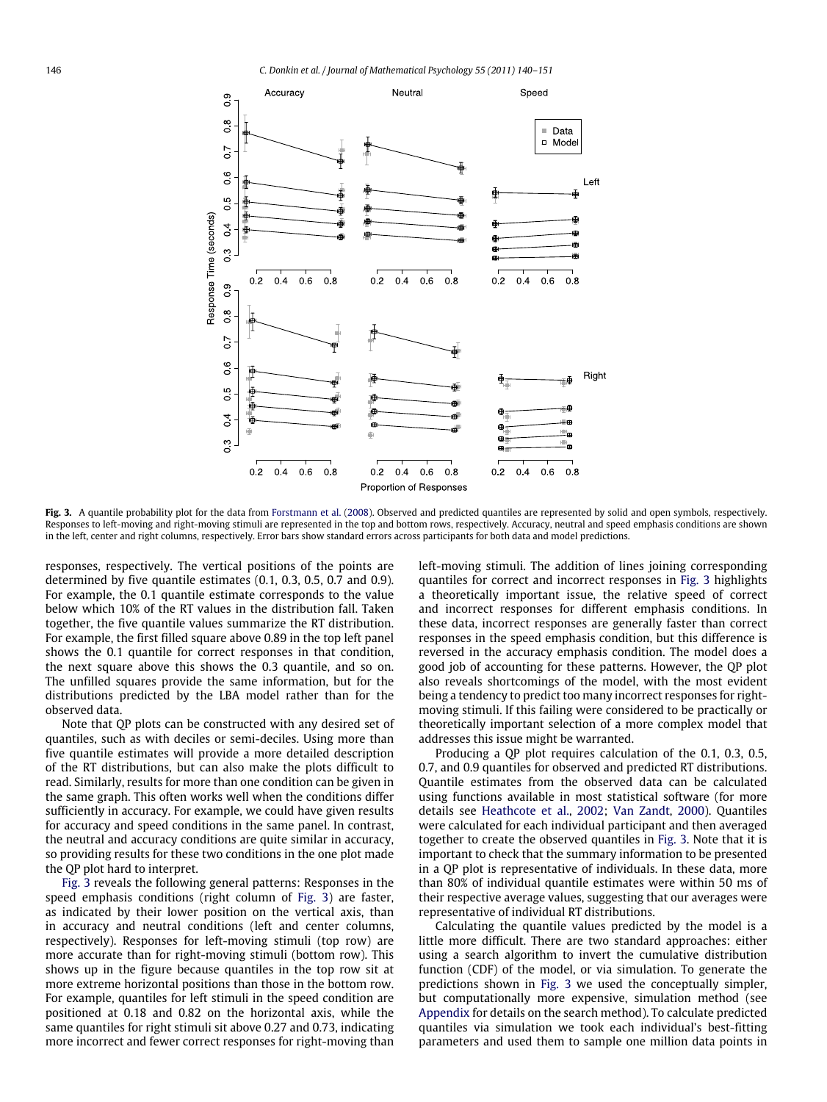<span id="page-6-0"></span>

**Fig. 3.** A quantile probability plot for the data from [Forstmann](#page-10-4) [et al.](#page-10-4) [\(2008\)](#page-10-4). Observed and predicted quantiles are represented by solid and open symbols, respectively. Responses to left-moving and right-moving stimuli are represented in the top and bottom rows, respectively. Accuracy, neutral and speed emphasis conditions are shown in the left, center and right columns, respectively. Error bars show standard errors across participants for both data and model predictions.

responses, respectively. The vertical positions of the points are determined by five quantile estimates (0.1, 0.3, 0.5, 0.7 and 0.9). For example, the 0.1 quantile estimate corresponds to the value below which 10% of the RT values in the distribution fall. Taken together, the five quantile values summarize the RT distribution. For example, the first filled square above 0.89 in the top left panel shows the 0.1 quantile for correct responses in that condition, the next square above this shows the 0.3 quantile, and so on. The unfilled squares provide the same information, but for the distributions predicted by the LBA model rather than for the observed data.

Note that QP plots can be constructed with any desired set of quantiles, such as with deciles or semi-deciles. Using more than five quantile estimates will provide a more detailed description of the RT distributions, but can also make the plots difficult to read. Similarly, results for more than one condition can be given in the same graph. This often works well when the conditions differ sufficiently in accuracy. For example, we could have given results for accuracy and speed conditions in the same panel. In contrast, the neutral and accuracy conditions are quite similar in accuracy, so providing results for these two conditions in the one plot made the QP plot hard to interpret.

[Fig. 3](#page-6-0) reveals the following general patterns: Responses in the speed emphasis conditions (right column of [Fig. 3\)](#page-6-0) are faster, as indicated by their lower position on the vertical axis, than in accuracy and neutral conditions (left and center columns, respectively). Responses for left-moving stimuli (top row) are more accurate than for right-moving stimuli (bottom row). This shows up in the figure because quantiles in the top row sit at more extreme horizontal positions than those in the bottom row. For example, quantiles for left stimuli in the speed condition are positioned at 0.18 and 0.82 on the horizontal axis, while the same quantiles for right stimuli sit above 0.27 and 0.73, indicating more incorrect and fewer correct responses for right-moving than left-moving stimuli. The addition of lines joining corresponding quantiles for correct and incorrect responses in [Fig. 3](#page-6-0) highlights a theoretically important issue, the relative speed of correct and incorrect responses for different emphasis conditions. In these data, incorrect responses are generally faster than correct responses in the speed emphasis condition, but this difference is reversed in the accuracy emphasis condition. The model does a good job of accounting for these patterns. However, the QP plot also reveals shortcomings of the model, with the most evident being a tendency to predict too many incorrect responses for rightmoving stimuli. If this failing were considered to be practically or theoretically important selection of a more complex model that addresses this issue might be warranted.

Producing a QP plot requires calculation of the 0.1, 0.3, 0.5, 0.7, and 0.9 quantiles for observed and predicted RT distributions. Quantile estimates from the observed data can be calculated using functions available in most statistical software (for more details see [Heathcote](#page-10-17) [et al.,](#page-10-17) [2002;](#page-10-17) [Van](#page-11-8) [Zandt,](#page-11-8) [2000\)](#page-11-8). Quantiles were calculated for each individual participant and then averaged together to create the observed quantiles in [Fig. 3.](#page-6-0) Note that it is important to check that the summary information to be presented in a QP plot is representative of individuals. In these data, more than 80% of individual quantile estimates were within 50 ms of their respective average values, suggesting that our averages were representative of individual RT distributions.

Calculating the quantile values predicted by the model is a little more difficult. There are two standard approaches: either using a search algorithm to invert the cumulative distribution function (CDF) of the model, or via simulation. To generate the predictions shown in [Fig. 3](#page-6-0) we used the conceptually simpler, but computationally more expensive, simulation method (see [Appendix](#page-7-0) for details on the search method). To calculate predicted quantiles via simulation we took each individual's best-fitting parameters and used them to sample one million data points in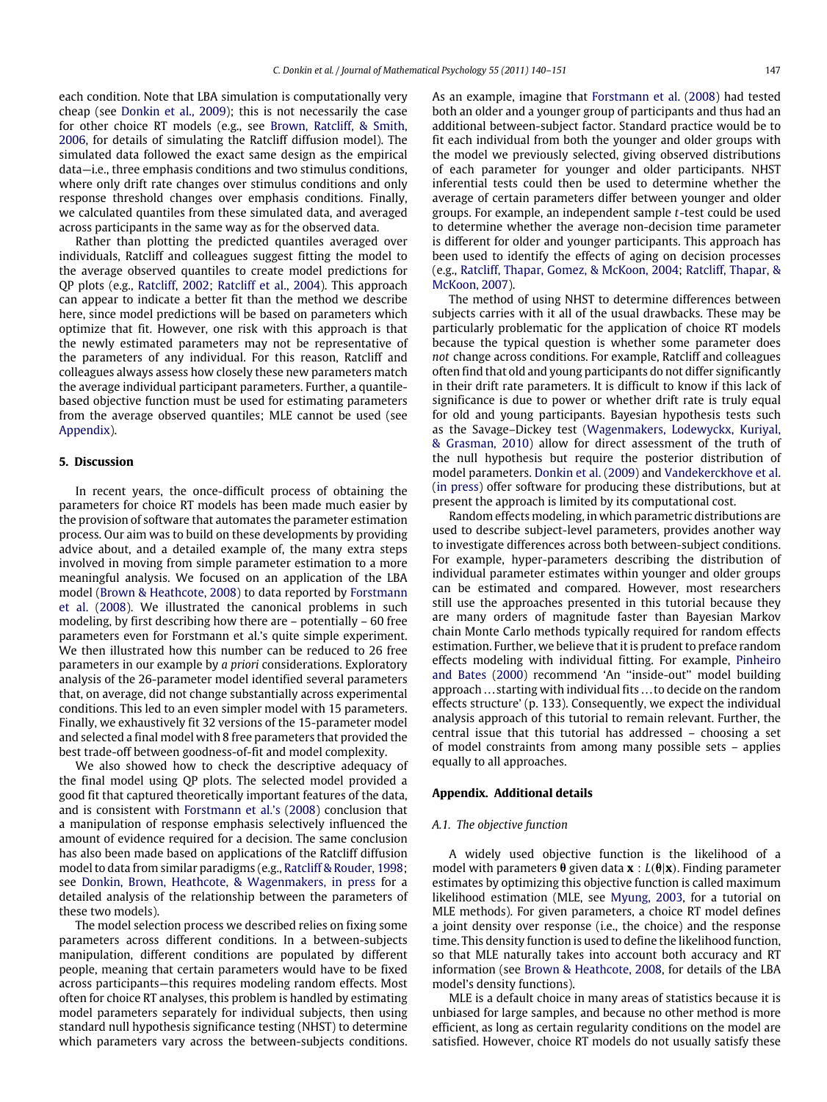each condition. Note that LBA simulation is computationally very cheap (see [Donkin](#page-10-11) [et al.,](#page-10-11) [2009\)](#page-10-11); this is not necessarily the case for other choice RT models (e.g., see [Brown,](#page-10-31) [Ratcliff,](#page-10-31) [&](#page-10-31) [Smith,](#page-10-31) [2006,](#page-10-31) for details of simulating the Ratcliff diffusion model). The simulated data followed the exact same design as the empirical data—i.e., three emphasis conditions and two stimulus conditions, where only drift rate changes over stimulus conditions and only response threshold changes over emphasis conditions. Finally, we calculated quantiles from these simulated data, and averaged across participants in the same way as for the observed data.

Rather than plotting the predicted quantiles averaged over individuals, Ratcliff and colleagues suggest fitting the model to the average observed quantiles to create model predictions for QP plots (e.g., [Ratcliff,](#page-10-32) [2002;](#page-10-32) [Ratcliff](#page-10-2) [et al.,](#page-10-2) [2004\)](#page-10-2). This approach can appear to indicate a better fit than the method we describe here, since model predictions will be based on parameters which optimize that fit. However, one risk with this approach is that the newly estimated parameters may not be representative of the parameters of any individual. For this reason, Ratcliff and colleagues always assess how closely these new parameters match the average individual participant parameters. Further, a quantilebased objective function must be used for estimating parameters from the average observed quantiles; MLE cannot be used (see [Appendix\)](#page-7-0).

## **5. Discussion**

In recent years, the once-difficult process of obtaining the parameters for choice RT models has been made much easier by the provision of software that automates the parameter estimation process. Our aim was to build on these developments by providing advice about, and a detailed example of, the many extra steps involved in moving from simple parameter estimation to a more meaningful analysis. We focused on an application of the LBA model [\(Brown](#page-10-10) [&](#page-10-10) [Heathcote,](#page-10-10) [2008\)](#page-10-10) to data reported by [Forstmann](#page-10-4) [et al.](#page-10-4) [\(2008\)](#page-10-4). We illustrated the canonical problems in such modeling, by first describing how there are – potentially – 60 free parameters even for Forstmann et al.'s quite simple experiment. We then illustrated how this number can be reduced to 26 free parameters in our example by *a priori* considerations. Exploratory analysis of the 26-parameter model identified several parameters that, on average, did not change substantially across experimental conditions. This led to an even simpler model with 15 parameters. Finally, we exhaustively fit 32 versions of the 15-parameter model and selected a final model with 8 free parameters that provided the best trade-off between goodness-of-fit and model complexity.

We also showed how to check the descriptive adequacy of the final model using QP plots. The selected model provided a good fit that captured theoretically important features of the data, and is consistent with [Forstmann](#page-10-4) [et](#page-10-4) [al.'s](#page-10-4) [\(2008\)](#page-10-4) conclusion that a manipulation of response emphasis selectively influenced the amount of evidence required for a decision. The same conclusion has also been made based on applications of the Ratcliff diffusion model to data from similar paradigms (e.g., [Ratcliff](#page-10-33) [&](#page-10-33) [Rouder,](#page-10-33) [1998;](#page-10-33) see [Donkin,](#page-10-34) [Brown,](#page-10-34) [Heathcote,](#page-10-34) [&](#page-10-34) [Wagenmakers,](#page-10-34) [in press](#page-10-34) for a detailed analysis of the relationship between the parameters of these two models).

The model selection process we described relies on fixing some parameters across different conditions. In a between-subjects manipulation, different conditions are populated by different people, meaning that certain parameters would have to be fixed across participants—this requires modeling random effects. Most often for choice RT analyses, this problem is handled by estimating model parameters separately for individual subjects, then using standard null hypothesis significance testing (NHST) to determine which parameters vary across the between-subjects conditions. As an example, imagine that [Forstmann](#page-10-4) [et al.](#page-10-4) [\(2008\)](#page-10-4) had tested both an older and a younger group of participants and thus had an additional between-subject factor. Standard practice would be to fit each individual from both the younger and older groups with the model we previously selected, giving observed distributions of each parameter for younger and older participants. NHST inferential tests could then be used to determine whether the average of certain parameters differ between younger and older groups. For example, an independent sample *t*-test could be used to determine whether the average non-decision time parameter is different for older and younger participants. This approach has been used to identify the effects of aging on decision processes (e.g., [Ratcliff,](#page-10-35) [Thapar,](#page-10-35) [Gomez,](#page-10-35) [&](#page-10-35) [McKoon,](#page-10-35) [2004;](#page-10-35) [Ratcliff,](#page-10-36) [Thapar,](#page-10-36) [&](#page-10-36) [McKoon,](#page-10-36) [2007\)](#page-10-36).

The method of using NHST to determine differences between subjects carries with it all of the usual drawbacks. These may be particularly problematic for the application of choice RT models because the typical question is whether some parameter does *not* change across conditions. For example, Ratcliff and colleagues often find that old and young participants do not differ significantly in their drift rate parameters. It is difficult to know if this lack of significance is due to power or whether drift rate is truly equal for old and young participants. Bayesian hypothesis tests such as the Savage–Dickey test [\(Wagenmakers,](#page-11-12) [Lodewyckx,](#page-11-12) [Kuriyal,](#page-11-12) [&](#page-11-12) [Grasman,](#page-11-12) [2010\)](#page-11-12) allow for direct assessment of the truth of the null hypothesis but require the posterior distribution of model parameters. [Donkin](#page-10-11) [et al.](#page-10-11) [\(2009\)](#page-10-11) and [Vandekerckhove](#page-11-9) [et al.](#page-11-9) [\(in press\)](#page-11-9) offer software for producing these distributions, but at present the approach is limited by its computational cost.

Random effects modeling, in which parametric distributions are used to describe subject-level parameters, provides another way to investigate differences across both between-subject conditions. For example, hyper-parameters describing the distribution of individual parameter estimates within younger and older groups can be estimated and compared. However, most researchers still use the approaches presented in this tutorial because they are many orders of magnitude faster than Bayesian Markov chain Monte Carlo methods typically required for random effects estimation. Further, we believe that it is prudent to preface random effects modeling with individual fitting. For example, [Pinheiro](#page-10-37) [and](#page-10-37) [Bates](#page-10-37) [\(2000\)](#page-10-37) recommend 'An ''inside-out'' model building approach . . . starting with individual fits . . . to decide on the random effects structure' (p. 133). Consequently, we expect the individual analysis approach of this tutorial to remain relevant. Further, the central issue that this tutorial has addressed – choosing a set of model constraints from among many possible sets – applies equally to all approaches.

## <span id="page-7-0"></span>**Appendix. Additional details**

### *A.1. The objective function*

A widely used objective function is the likelihood of a model with parameters θ given data **x** : *L*(θ|**x**). Finding parameter estimates by optimizing this objective function is called maximum likelihood estimation (MLE, see [Myung,](#page-10-13) [2003,](#page-10-13) for a tutorial on MLE methods). For given parameters, a choice RT model defines a joint density over response (i.e., the choice) and the response time. This density function is used to define the likelihood function, so that MLE naturally takes into account both accuracy and RT information (see [Brown](#page-10-10) [&](#page-10-10) [Heathcote,](#page-10-10) [2008,](#page-10-10) for details of the LBA model's density functions).

MLE is a default choice in many areas of statistics because it is unbiased for large samples, and because no other method is more efficient, as long as certain regularity conditions on the model are satisfied. However, choice RT models do not usually satisfy these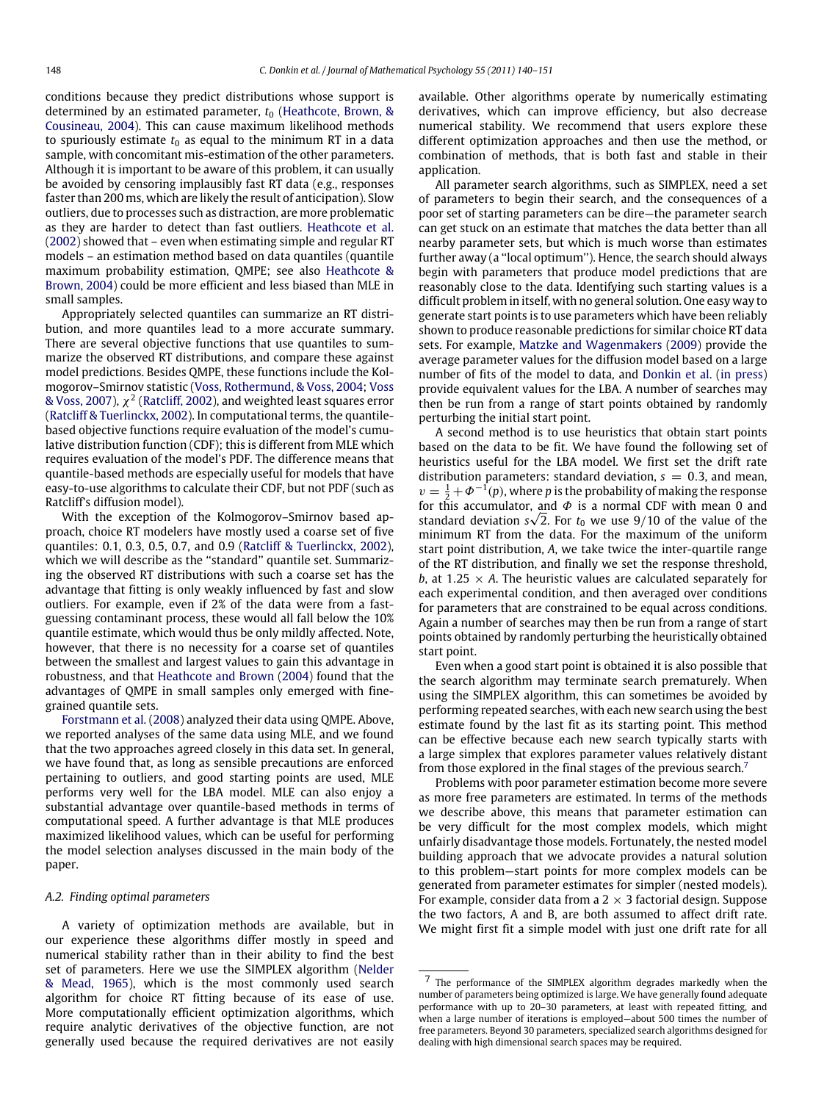conditions because they predict distributions whose support is determined by an estimated parameter,  $t_0$  [\(Heathcote,](#page-10-38) [Brown,](#page-10-38) [&](#page-10-38) [Cousineau,](#page-10-38) [2004\)](#page-10-38). This can cause maximum likelihood methods to spuriously estimate  $t_0$  as equal to the minimum RT in a data sample, with concomitant mis-estimation of the other parameters. Although it is important to be aware of this problem, it can usually be avoided by censoring implausibly fast RT data (e.g., responses faster than 200 ms, which are likely the result of anticipation). Slow outliers, due to processes such as distraction, are more problematic as they are harder to detect than fast outliers. [Heathcote](#page-10-17) [et al.](#page-10-17) [\(2002\)](#page-10-17) showed that – even when estimating simple and regular RT models – an estimation method based on data quantiles (quantile maximum probability estimation, QMPE; see also [Heathcote](#page-10-39) [&](#page-10-39) [Brown,](#page-10-39) [2004\)](#page-10-39) could be more efficient and less biased than MLE in small samples.

Appropriately selected quantiles can summarize an RT distribution, and more quantiles lead to a more accurate summary. There are several objective functions that use quantiles to summarize the observed RT distributions, and compare these against model predictions. Besides QMPE, these functions include the Kolmogorov–Smirnov statistic [\(Voss,](#page-11-13) [Rothermund,](#page-11-13) [&](#page-11-13) [Voss,](#page-11-13) [2004;](#page-11-13) [Voss](#page-11-14) [&](#page-11-14) [Voss,](#page-11-14) [2007\)](#page-11-14),  $\chi^2$  [\(Ratcliff,](#page-10-32) [2002\)](#page-10-32), and weighted least squares error [\(Ratcliff](#page-10-18) [&](#page-10-18) [Tuerlinckx,](#page-10-18) [2002\)](#page-10-18). In computational terms, the quantilebased objective functions require evaluation of the model's cumulative distribution function (CDF); this is different from MLE which requires evaluation of the model's PDF. The difference means that quantile-based methods are especially useful for models that have easy-to-use algorithms to calculate their CDF, but not PDF (such as Ratcliff's diffusion model).

With the exception of the Kolmogorov–Smirnov based approach, choice RT modelers have mostly used a coarse set of five quantiles: 0.1, 0.3, 0.5, 0.7, and 0.9 [\(Ratcliff](#page-10-18) [&](#page-10-18) [Tuerlinckx,](#page-10-18) [2002\)](#page-10-18), which we will describe as the ''standard'' quantile set. Summarizing the observed RT distributions with such a coarse set has the advantage that fitting is only weakly influenced by fast and slow outliers. For example, even if 2% of the data were from a fastguessing contaminant process, these would all fall below the 10% quantile estimate, which would thus be only mildly affected. Note, however, that there is no necessity for a coarse set of quantiles between the smallest and largest values to gain this advantage in robustness, and that [Heathcote](#page-10-39) [and](#page-10-39) [Brown](#page-10-39) [\(2004\)](#page-10-39) found that the advantages of QMPE in small samples only emerged with finegrained quantile sets.

[Forstmann](#page-10-4) [et al.](#page-10-4) [\(2008\)](#page-10-4) analyzed their data using QMPE. Above, we reported analyses of the same data using MLE, and we found that the two approaches agreed closely in this data set. In general, we have found that, as long as sensible precautions are enforced pertaining to outliers, and good starting points are used, MLE performs very well for the LBA model. MLE can also enjoy a substantial advantage over quantile-based methods in terms of computational speed. A further advantage is that MLE produces maximized likelihood values, which can be useful for performing the model selection analyses discussed in the main body of the paper.

## *A.2. Finding optimal parameters*

A variety of optimization methods are available, but in our experience these algorithms differ mostly in speed and numerical stability rather than in their ability to find the best set of parameters. Here we use the SIMPLEX algorithm [\(Nelder](#page-10-40) [&](#page-10-40) [Mead,](#page-10-40) [1965\)](#page-10-40), which is the most commonly used search algorithm for choice RT fitting because of its ease of use. More computationally efficient optimization algorithms, which require analytic derivatives of the objective function, are not generally used because the required derivatives are not easily available. Other algorithms operate by numerically estimating derivatives, which can improve efficiency, but also decrease numerical stability. We recommend that users explore these different optimization approaches and then use the method, or combination of methods, that is both fast and stable in their application.

All parameter search algorithms, such as SIMPLEX, need a set of parameters to begin their search, and the consequences of a poor set of starting parameters can be dire—the parameter search can get stuck on an estimate that matches the data better than all nearby parameter sets, but which is much worse than estimates further away (a ''local optimum''). Hence, the search should always begin with parameters that produce model predictions that are reasonably close to the data. Identifying such starting values is a difficult problem in itself, with no general solution. One easy way to generate start points is to use parameters which have been reliably shown to produce reasonable predictions for similar choice RT data sets. For example, [Matzke](#page-10-41) [and](#page-10-41) [Wagenmakers](#page-10-41) [\(2009\)](#page-10-41) provide the average parameter values for the diffusion model based on a large number of fits of the model to data, and [Donkin](#page-10-34) [et al.](#page-10-34) [\(in press\)](#page-10-34) provide equivalent values for the LBA. A number of searches may then be run from a range of start points obtained by randomly perturbing the initial start point.

A second method is to use heuristics that obtain start points based on the data to be fit. We have found the following set of heuristics useful for the LBA model. We first set the drift rate distribution parameters: standard deviation,  $s = 0.3$ , and mean,  $v = \frac{1}{2} + \Phi^{-1}(p)$ , where *p* is the probability of making the response for this accumulator, and  $\Phi$  is a normal CDF with mean 0 and standard deviation  $s\sqrt{2}$ . For  $t_0$  we use  $9/10$  of the value of the minimum RT from the data. For the maximum of the uniform start point distribution, *A*, we take twice the inter-quartile range of the RT distribution, and finally we set the response threshold, *b*, at 1.25  $\times$  *A*. The heuristic values are calculated separately for each experimental condition, and then averaged over conditions for parameters that are constrained to be equal across conditions. Again a number of searches may then be run from a range of start points obtained by randomly perturbing the heuristically obtained start point.

Even when a good start point is obtained it is also possible that the search algorithm may terminate search prematurely. When using the SIMPLEX algorithm, this can sometimes be avoided by performing repeated searches, with each new search using the best estimate found by the last fit as its starting point. This method can be effective because each new search typically starts with a large simplex that explores parameter values relatively distant from those explored in the final stages of the previous search.<sup>[7](#page-8-0)</sup>

Problems with poor parameter estimation become more severe as more free parameters are estimated. In terms of the methods we describe above, this means that parameter estimation can be very difficult for the most complex models, which might unfairly disadvantage those models. Fortunately, the nested model building approach that we advocate provides a natural solution to this problem—start points for more complex models can be generated from parameter estimates for simpler (nested models). For example, consider data from a  $2 \times 3$  factorial design. Suppose the two factors, A and B, are both assumed to affect drift rate. We might first fit a simple model with just one drift rate for all

<span id="page-8-0"></span><sup>7</sup> The performance of the SIMPLEX algorithm degrades markedly when the number of parameters being optimized is large. We have generally found adequate performance with up to 20–30 parameters, at least with repeated fitting, and when a large number of iterations is employed—about 500 times the number of free parameters. Beyond 30 parameters, specialized search algorithms designed for dealing with high dimensional search spaces may be required.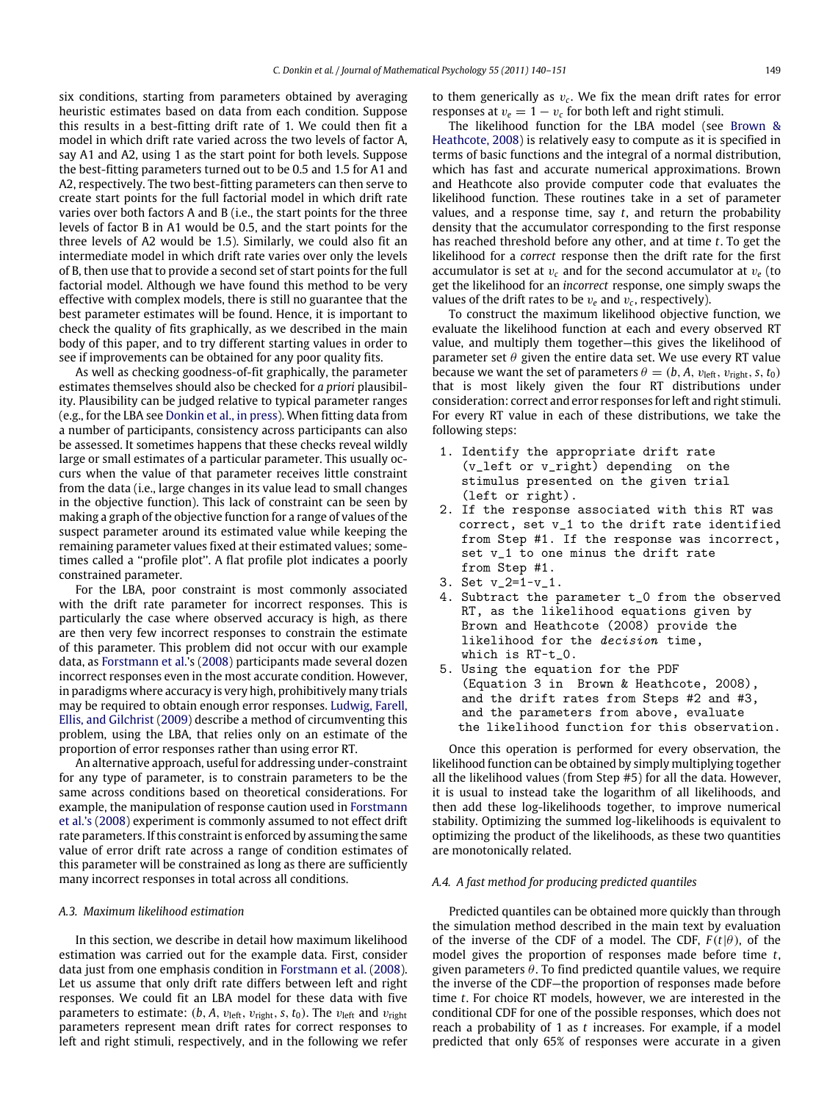six conditions, starting from parameters obtained by averaging heuristic estimates based on data from each condition. Suppose this results in a best-fitting drift rate of 1. We could then fit a model in which drift rate varied across the two levels of factor A, say A1 and A2, using 1 as the start point for both levels. Suppose the best-fitting parameters turned out to be 0.5 and 1.5 for A1 and A2, respectively. The two best-fitting parameters can then serve to create start points for the full factorial model in which drift rate varies over both factors A and B (i.e., the start points for the three levels of factor B in A1 would be 0.5, and the start points for the three levels of A2 would be 1.5). Similarly, we could also fit an intermediate model in which drift rate varies over only the levels of B, then use that to provide a second set of start points for the full factorial model. Although we have found this method to be very effective with complex models, there is still no guarantee that the best parameter estimates will be found. Hence, it is important to check the quality of fits graphically, as we described in the main body of this paper, and to try different starting values in order to see if improvements can be obtained for any poor quality fits.

As well as checking goodness-of-fit graphically, the parameter estimates themselves should also be checked for *a priori* plausibility. Plausibility can be judged relative to typical parameter ranges (e.g., for the LBA see [Donkin](#page-10-34) [et al.,](#page-10-34) [in press\)](#page-10-34). When fitting data from a number of participants, consistency across participants can also be assessed. It sometimes happens that these checks reveal wildly large or small estimates of a particular parameter. This usually occurs when the value of that parameter receives little constraint from the data (i.e., large changes in its value lead to small changes in the objective function). This lack of constraint can be seen by making a graph of the objective function for a range of values of the suspect parameter around its estimated value while keeping the remaining parameter values fixed at their estimated values; sometimes called a ''profile plot''. A flat profile plot indicates a poorly constrained parameter.

For the LBA, poor constraint is most commonly associated with the drift rate parameter for incorrect responses. This is particularly the case where observed accuracy is high, as there are then very few incorrect responses to constrain the estimate of this parameter. This problem did not occur with our example data, as [Forstmann](#page-10-4) [et al.'](#page-10-4)s [\(2008\)](#page-10-4) participants made several dozen incorrect responses even in the most accurate condition. However, in paradigms where accuracy is very high, prohibitively many trials may be required to obtain enough error responses. [Ludwig,](#page-10-42) [Farell,](#page-10-42) [Ellis,](#page-10-42) [and](#page-10-42) [Gilchrist](#page-10-42) [\(2009\)](#page-10-42) describe a method of circumventing this problem, using the LBA, that relies only on an estimate of the proportion of error responses rather than using error RT.

An alternative approach, useful for addressing under-constraint for any type of parameter, is to constrain parameters to be the same across conditions based on theoretical considerations. For example, the manipulation of response caution used in [Forstmann](#page-10-4) [et](#page-10-4) [al.'s](#page-10-4) [\(2008\)](#page-10-4) experiment is commonly assumed to not effect drift rate parameters. If this constraint is enforced by assuming the same value of error drift rate across a range of condition estimates of this parameter will be constrained as long as there are sufficiently many incorrect responses in total across all conditions.

## *A.3. Maximum likelihood estimation*

In this section, we describe in detail how maximum likelihood estimation was carried out for the example data. First, consider data just from one emphasis condition in [Forstmann](#page-10-4) [et al.](#page-10-4) [\(2008\)](#page-10-4). Let us assume that only drift rate differs between left and right responses. We could fit an LBA model for these data with five parameters to estimate: (*b*, *A*,  $v_{\text{left}}$ ,  $v_{\text{right}}$ , *s*,  $t_0$ ). The  $v_{\text{left}}$  and  $v_{\text{right}}$ parameters represent mean drift rates for correct responses to left and right stimuli, respectively, and in the following we refer to them generically as  $v_c$ . We fix the mean drift rates for error responses at  $v_e = 1 - v_c$  for both left and right stimuli.

The likelihood function for the LBA model (see [Brown](#page-10-10) [&](#page-10-10) [Heathcote,](#page-10-10) [2008\)](#page-10-10) is relatively easy to compute as it is specified in terms of basic functions and the integral of a normal distribution, which has fast and accurate numerical approximations. Brown and Heathcote also provide computer code that evaluates the likelihood function. These routines take in a set of parameter values, and a response time, say *t*, and return the probability density that the accumulator corresponding to the first response has reached threshold before any other, and at time *t*. To get the likelihood for a *correct* response then the drift rate for the first accumulator is set at  $v_c$  and for the second accumulator at  $v_e$  (to get the likelihood for an *incorrect* response, one simply swaps the values of the drift rates to be  $v_e$  and  $v_c$ , respectively).

To construct the maximum likelihood objective function, we evaluate the likelihood function at each and every observed RT value, and multiply them together—this gives the likelihood of parameter set  $\theta$  given the entire data set. We use every RT value because we want the set of parameters  $\theta = (b, A, v_{\text{left}}, v_{\text{right}}, s, t_0)$ that is most likely given the four RT distributions under consideration: correct and error responses for left and right stimuli. For every RT value in each of these distributions, we take the following steps:

- 1. Identify the appropriate drift rate (v\_left or v\_right) depending on the stimulus presented on the given trial (left or right).
- 2. If the response associated with this RT was correct, set v\_1 to the drift rate identified from Step #1. If the response was incorrect, set v\_1 to one minus the drift rate from Step #1.
- 3. Set v\_2=1-v\_1.
- 4. Subtract the parameter t\_0 from the observed RT, as the likelihood equations given by Brown and Heathcote (2008) provide the likelihood for the decision time, which is RT-t\_0.
- 5. Using the equation for the PDF (Equation 3 in Brown & Heathcote, 2008), and the drift rates from Steps #2 and #3, and the parameters from above, evaluate the likelihood function for this observation.

Once this operation is performed for every observation, the likelihood function can be obtained by simply multiplying together all the likelihood values (from Step #5) for all the data. However, it is usual to instead take the logarithm of all likelihoods, and then add these log-likelihoods together, to improve numerical stability. Optimizing the summed log-likelihoods is equivalent to optimizing the product of the likelihoods, as these two quantities are monotonically related.

## *A.4. A fast method for producing predicted quantiles*

Predicted quantiles can be obtained more quickly than through the simulation method described in the main text by evaluation of the inverse of the CDF of a model. The CDF,  $F(t|\theta)$ , of the model gives the proportion of responses made before time *t*, given parameters  $\theta$ . To find predicted quantile values, we require the inverse of the CDF—the proportion of responses made before time *t*. For choice RT models, however, we are interested in the conditional CDF for one of the possible responses, which does not reach a probability of 1 as *t* increases. For example, if a model predicted that only 65% of responses were accurate in a given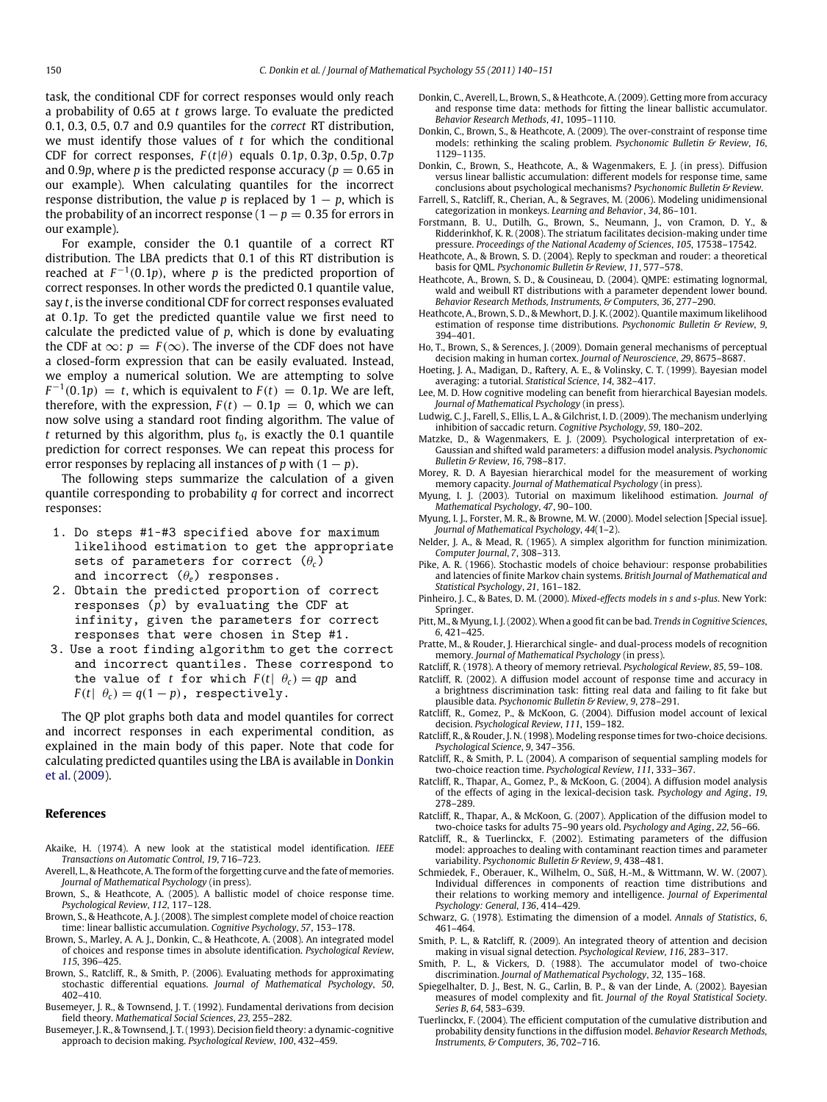task, the conditional CDF for correct responses would only reach a probability of 0.65 at *t* grows large. To evaluate the predicted 0.1, 0.3, 0.5, 0.7 and 0.9 quantiles for the *correct* RT distribution, we must identify those values of *t* for which the conditional CDF for correct responses,  $F(t|\theta)$  equals 0.1*p*, 0.3*p*, 0.5*p*, 0.7*p* and 0.9*p*, where *p* is the predicted response accuracy ( $p = 0.65$  in our example). When calculating quantiles for the incorrect response distribution, the value *p* is replaced by  $1 - p$ , which is the probability of an incorrect response  $(1 - p = 0.35$  for errors in our example).

For example, consider the 0.1 quantile of a correct RT distribution. The LBA predicts that 0.1 of this RT distribution is reached at  $F^{-1}(0.1p)$ , where p is the predicted proportion of correct responses. In other words the predicted 0.1 quantile value, say *t*, is the inverse conditional CDF for correct responses evaluated at 0.1*p*. To get the predicted quantile value we first need to calculate the predicted value of *p*, which is done by evaluating the CDF at  $\infty$ :  $p = F(\infty)$ . The inverse of the CDF does not have a closed-form expression that can be easily evaluated. Instead, we employ a numerical solution. We are attempting to solve  $F^{-1}(0.1p) = t$ , which is equivalent to  $F(t) = 0.1p$ . We are left, therefore, with the expression,  $F(t) - 0.1p = 0$ , which we can now solve using a standard root finding algorithm. The value of *t* returned by this algorithm, plus  $t_0$ , is exactly the 0.1 quantile prediction for correct responses. We can repeat this process for error responses by replacing all instances of  $p$  with  $(1 - p)$ .

The following steps summarize the calculation of a given quantile corresponding to probability *q* for correct and incorrect responses:

- 1. Do steps #1-#3 specified above for maximum likelihood estimation to get the appropriate sets of parameters for correct  $(\theta_c)$ and incorrect  $(\theta_e)$  responses.
- 2. Obtain the predicted proportion of correct responses (*p*) by evaluating the CDF at infinity, given the parameters for correct responses that were chosen in Step #1.
- 3. Use a root finding algorithm to get the correct and incorrect quantiles. These correspond to the value of *t* for which  $F(t | \theta_c) = qp$  and  $F(t | \theta_c) = q(1-p)$ , respectively.

The QP plot graphs both data and model quantiles for correct and incorrect responses in each experimental condition, as explained in the main body of this paper. Note that code for calculating predicted quantiles using the LBA is available in [Donkin](#page-10-11) [et al.](#page-10-11) [\(2009\)](#page-10-11).

#### **References**

- <span id="page-10-25"></span>Akaike, H. (1974). A new look at the statistical model identification. *IEEE Transactions on Automatic Control*, *19*, 716–723.
- <span id="page-10-20"></span>Averell, L., & Heathcote, A. The form of the forgetting curve and the fate of memories. *Journal of Mathematical Psychology* (in press).
- <span id="page-10-9"></span>Brown, S., & Heathcote, A. (2005). A ballistic model of choice response time. *Psychological Review*, *112*, 117–128.
- <span id="page-10-10"></span>Brown, S., & Heathcote, A. J. (2008). The simplest complete model of choice reaction time: linear ballistic accumulation. *Cognitive Psychology*, *57*, 153–178.
- <span id="page-10-1"></span>Brown, S., Marley, A. A. J., Donkin, C., & Heathcote, A. (2008). An integrated model of choices and response times in absolute identification. *Psychological Review*, *115*, 396–425.
- <span id="page-10-31"></span>Brown, S., Ratcliff, R., & Smith, P. (2006). Evaluating methods for approximating stochastic differential equations. *Journal of Mathematical Psychology*, *50*, 402–410.
- <span id="page-10-15"></span>Busemeyer, J. R., & Townsend, J. T. (1992). Fundamental derivations from decision field theory. *Mathematical Social Sciences*, *23*, 255–282.
- <span id="page-10-16"></span>Busemeyer, J. R., & Townsend, J. T. (1993). Decision field theory: a dynamic-cognitive approach to decision making. *Psychological Review*, *100*, 432–459.
- <span id="page-10-11"></span>Donkin, C., Averell, L., Brown, S., & Heathcote, A. (2009). Getting more from accuracy and response time data: methods for fitting the linear ballistic accumulator. *Behavior Research Methods*, *41*, 1095–1110.
- <span id="page-10-19"></span>Donkin, C., Brown, S., & Heathcote, A. (2009). The over-constraint of response time models: rethinking the scaling problem. *Psychonomic Bulletin & Review*, *16*, 1129–1135.
- <span id="page-10-34"></span>Donkin, C., Brown, S., Heathcote, A., & Wagenmakers, E. J. (in press). Diffusion versus linear ballistic accumulation: different models for response time, same conclusions about psychological mechanisms? *Psychonomic Bulletin & Review*.
- <span id="page-10-3"></span>Farrell, S., Ratcliff, R., Cherian, A., & Segraves, M. (2006). Modeling unidimensional categorization in monkeys. *Learning and Behavior*, *34*, 86–101.
- <span id="page-10-4"></span>Forstmann, B. U., Dutilh, G., Brown, S., Neumann, J., von Cramon, D. Y., & Ridderinkhof, K. R. (2008). The striatum facilitates decision-making under time pressure. *Proceedings of the National Academy of Sciences*, *105*, 17538–17542.
- <span id="page-10-39"></span>Heathcote, A., & Brown, S. D. (2004). Reply to speckman and rouder: a theoretical basis for QML. *Psychonomic Bulletin & Review*, *11*, 577–578.
- <span id="page-10-38"></span>Heathcote, A., Brown, S. D., & Cousineau, D. (2004). QMPE: estimating lognormal, wald and weibull RT distributions with a parameter dependent lower bound. *Behavior Research Methods, Instruments, & Computers*, *36*, 277–290.
- <span id="page-10-17"></span>Heathcote, A., Brown, S. D., & Mewhort, D. J. K. (2002). Quantile maximum likelihood estimation of response time distributions. *Psychonomic Bulletin & Review*, *9*, 394–401.
- <span id="page-10-5"></span>Ho, T., Brown, S., & Serences, J. (2009). Domain general mechanisms of perceptual decision making in human cortex. *Journal of Neuroscience*, *29*, 8675–8687.
- <span id="page-10-29"></span>Hoeting, J. A., Madigan, D., Raftery, A. E., & Volinsky, C. T. (1999). Bayesian model averaging: a tutorial. *Statistical Science*, *14*, 382–417.
- <span id="page-10-21"></span>Lee, M. D. How cognitive modeling can benefit from hierarchical Bayesian models. *Journal of Mathematical Psychology* (in press).
- <span id="page-10-42"></span>Ludwig, C. J., Farell, S., Ellis, L. A., & Gilchrist, I. D. (2009). The mechanism underlying inhibition of saccadic return. *Cognitive Psychology*, *59*, 180–202.
- <span id="page-10-41"></span>Matzke, D., & Wagenmakers, E. J. (2009). Psychological interpretation of ex-Gaussian and shifted wald parameters: a diffusion model analysis. *Psychonomic Bulletin & Review*, *16*, 798–817.
- <span id="page-10-22"></span>Morey, R. D. A Bayesian hierarchical model for the measurement of working memory capacity. *Journal of Mathematical Psychology* (in press).
- <span id="page-10-13"></span>Myung, I. J. (2003). Tutorial on maximum likelihood estimation. *Journal of Mathematical Psychology*, *47*, 90–100.
- <span id="page-10-24"></span>Myung, I. J., Forster, M. R., & Browne, M. W. (2000). Model selection [Special issue]. *Journal of Mathematical Psychology*, *44*(1–2).
- <span id="page-10-40"></span>Nelder, J. A., & Mead, R. (1965). A simplex algorithm for function minimization. *Computer Journal*, *7*, 308–313.
- <span id="page-10-7"></span>Pike, A. R. (1966). Stochastic models of choice behaviour: response probabilities and latencies of finite Markov chain systems. *British Journal of Mathematical and Statistical Psychology*, *21*, 161–182.
- <span id="page-10-37"></span>Pinheiro, J. C., & Bates, D. M. (2000). *Mixed-effects models in s and s-plus*. New York: Springer.
- <span id="page-10-27"></span>Pitt, M., & Myung, I. J. (2002). When a good fit can be bad. *Trends in Cognitive Sciences*, *6*, 421–425.
- <span id="page-10-23"></span>Pratte, M., & Rouder, J. Hierarchical single- and dual-process models of recognition memory. *Journal of Mathematical Psychology* (in press).
- <span id="page-10-6"></span>Ratcliff, R. (1978). A theory of memory retrieval. *Psychological Review*, *85*, 59–108.
- <span id="page-10-32"></span>Ratcliff, R. (2002). A diffusion model account of response time and accuracy in a brightness discrimination task: fitting real data and failing to fit fake but plausible data. *Psychonomic Bulletin & Review*, *9*, 278–291.
- <span id="page-10-2"></span>Ratcliff, R., Gomez, P., & McKoon, G. (2004). Diffusion model account of lexical decision. *Psychological Review*, *111*, 159–182.
- <span id="page-10-33"></span>Ratcliff, R., & Rouder, J. N. (1998). Modeling response times for two-choice decisions. *Psychological Science*, *9*, 347–356.
- <span id="page-10-30"></span>Ratcliff, R., & Smith, P. L. (2004). A comparison of sequential sampling models for two-choice reaction time. *Psychological Review*, *111*, 333–367.
- <span id="page-10-35"></span>Ratcliff, R., Thapar, A., Gomez, P., & McKoon, G. (2004). A diffusion model analysis of the effects of aging in the lexical-decision task. *Psychology and Aging*, *19*, 278–289.
- <span id="page-10-36"></span>Ratcliff, R., Thapar, A., & McKoon, G. (2007). Application of the diffusion model to two-choice tasks for adults 75–90 years old. *Psychology and Aging*, *22*, 56–66.
- <span id="page-10-18"></span>Ratcliff, R., & Tuerlinckx, F. (2002). Estimating parameters of the diffusion model: approaches to dealing with contaminant reaction times and parameter variability. *Psychonomic Bulletin & Review*, *9*, 438–481.
- <span id="page-10-14"></span>Schmiedek, F., Oberauer, K., Wilhelm, O., Süß, H.-M., & Wittmann, W. W. (2007). Individual differences in components of reaction time distributions and their relations to working memory and intelligence. *Journal of Experimental Psychology: General*, *136*, 414–429.
- <span id="page-10-26"></span>Schwarz, G. (1978). Estimating the dimension of a model. *Annals of Statistics*, *6*, 461–464.
- <span id="page-10-0"></span>Smith, P. L., & Ratcliff, R. (2009). An integrated theory of attention and decision making in visual signal detection. *Psychological Review*, *116*, 283–317.
- <span id="page-10-8"></span>Smith, P. L., & Vickers, D. (1988). The accumulator model of two-choice discrimination. *Journal of Mathematical Psychology*, *32*, 135–168.
- <span id="page-10-28"></span>Spiegelhalter, D. J., Best, N. G., Carlin, B. P., & van der Linde, A. (2002). Bayesian measures of model complexity and fit. *Journal of the Royal Statistical Society. Series B*, *64*, 583–639.
- <span id="page-10-12"></span>Tuerlinckx, F. (2004). The efficient computation of the cumulative distribution and probability density functions in the diffusion model. *Behavior Research Methods, Instruments, & Computers*, *36*, 702–716.